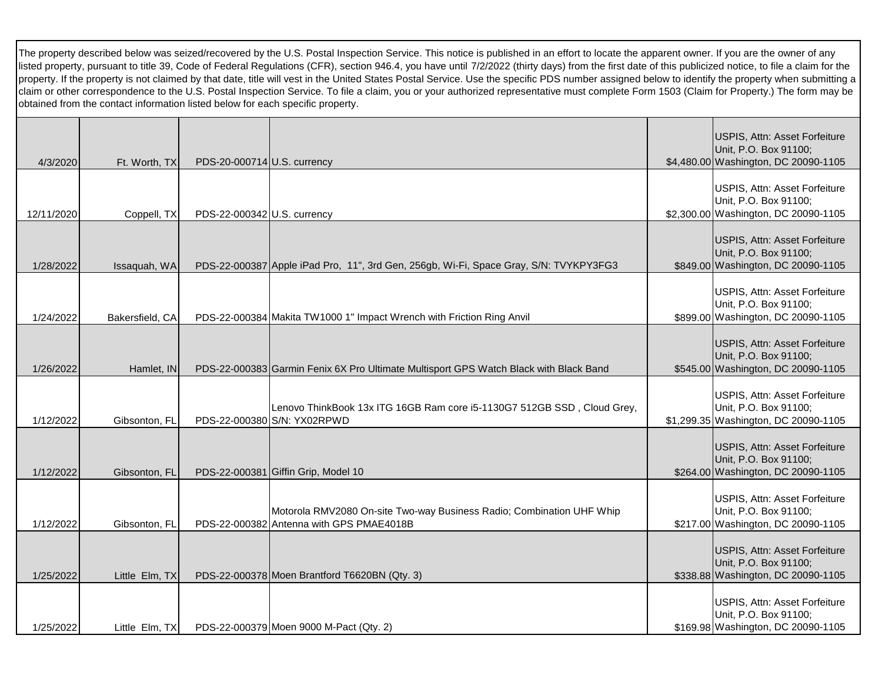The property described below was seized/recovered by the U.S. Postal Inspection Service. This notice is published in an effort to locate the apparent owner. If you are the owner of any listed property, pursuant to title 39, Code of Federal Regulations (CFR), section 946.4, you have until 7/2/2022 (thirty days) from the first date of this publicized notice, to file a claim for the property. If the property is not claimed by that date, title will vest in the United States Postal Service. Use the specific PDS number assigned below to identify the property when submitting a claim or other correspondence to the U.S. Postal Inspection Service. To file a claim, you or your authorized representative must complete Form 1503 (Claim for Property.) The form may be obtained from the contact information listed below for each specific property.

| 4/3/2020   | Ft. Worth, TX   | PDS-20-000714 U.S. currency |                                                                                                                   | USPIS, Attn: Asset Forfeiture<br>Unit, P.O. Box 91100;<br>\$4,480.00 Washington, DC 20090-1105 |
|------------|-----------------|-----------------------------|-------------------------------------------------------------------------------------------------------------------|------------------------------------------------------------------------------------------------|
| 12/11/2020 | Coppell, TX     | PDS-22-000342 U.S. currency |                                                                                                                   | USPIS, Attn: Asset Forfeiture<br>Unit, P.O. Box 91100;<br>\$2,300.00 Washington, DC 20090-1105 |
| 1/28/2022  | Issaquah, WA    |                             | PDS-22-000387 Apple iPad Pro, 11", 3rd Gen, 256gb, Wi-Fi, Space Gray, S/N: TVYKPY3FG3                             | USPIS, Attn: Asset Forfeiture<br>Unit, P.O. Box 91100;<br>\$849.00 Washington, DC 20090-1105   |
| 1/24/2022  | Bakersfield, CA |                             | PDS-22-000384 Makita TW1000 1" Impact Wrench with Friction Ring Anvil                                             | USPIS, Attn: Asset Forfeiture<br>Unit, P.O. Box 91100;<br>\$899.00 Washington, DC 20090-1105   |
| 1/26/2022  | Hamlet, IN      |                             | PDS-22-000383 Garmin Fenix 6X Pro Ultimate Multisport GPS Watch Black with Black Band                             | USPIS, Attn: Asset Forfeiture<br>Unit, P.O. Box 91100;<br>\$545.00 Washington, DC 20090-1105   |
| 1/12/2022  | Gibsonton, FL   |                             | Lenovo ThinkBook 13x ITG 16GB Ram core i5-1130G7 512GB SSD, Cloud Grey,<br>PDS-22-000380 S/N: YX02RPWD            | USPIS, Attn: Asset Forfeiture<br>Unit, P.O. Box 91100;<br>\$1,299.35 Washington, DC 20090-1105 |
| 1/12/2022  | Gibsonton, FL   |                             | PDS-22-000381 Giffin Grip, Model 10                                                                               | USPIS, Attn: Asset Forfeiture<br>Unit, P.O. Box 91100;<br>\$264.00 Washington, DC 20090-1105   |
| 1/12/2022  | Gibsonton, FL   |                             | Motorola RMV2080 On-site Two-way Business Radio; Combination UHF Whip<br>PDS-22-000382 Antenna with GPS PMAE4018B | USPIS, Attn: Asset Forfeiture<br>Unit, P.O. Box 91100;<br>\$217.00 Washington, DC 20090-1105   |
| 1/25/2022  | Little Elm, TX  |                             | PDS-22-000378 Moen Brantford T6620BN (Qty. 3)                                                                     | USPIS, Attn: Asset Forfeiture<br>Unit, P.O. Box 91100;<br>\$338.88 Washington, DC 20090-1105   |
| 1/25/2022  | Little Elm, TX  |                             | PDS-22-000379 Moen 9000 M-Pact (Qty. 2)                                                                           | USPIS, Attn: Asset Forfeiture<br>Unit, P.O. Box 91100;<br>\$169.98 Washington, DC 20090-1105   |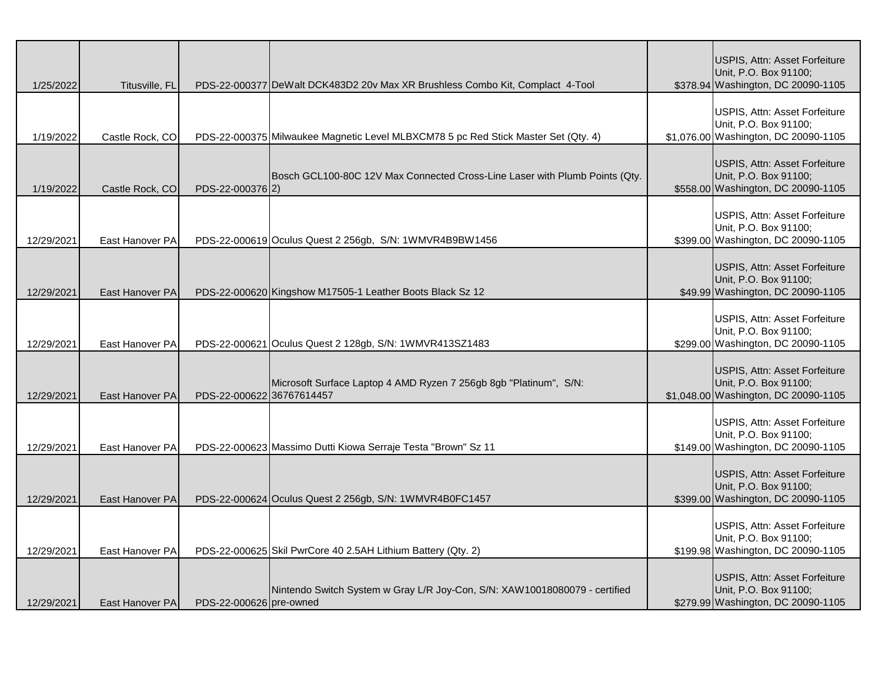| 1/25/2022  | Titusville, FL  |                           | PDS-22-000377 DeWalt DCK483D2 20v Max XR Brushless Combo Kit, Complact 4-Tool      | USPIS, Attn: Asset Forfeiture<br>Unit, P.O. Box 91100;<br>\$378.94 Washington, DC 20090-1105   |
|------------|-----------------|---------------------------|------------------------------------------------------------------------------------|------------------------------------------------------------------------------------------------|
| 1/19/2022  | Castle Rock, CO |                           | PDS-22-000375 Milwaukee Magnetic Level MLBXCM78 5 pc Red Stick Master Set (Qty. 4) | USPIS, Attn: Asset Forfeiture<br>Unit, P.O. Box 91100;<br>\$1,076.00 Washington, DC 20090-1105 |
|            |                 |                           | Bosch GCL100-80C 12V Max Connected Cross-Line Laser with Plumb Points (Qty.        | USPIS, Attn: Asset Forfeiture<br>Unit, P.O. Box 91100;                                         |
| 1/19/2022  | Castle Rock, CO | PDS-22-000376 2)          |                                                                                    | \$558.00 Washington, DC 20090-1105                                                             |
| 12/29/2021 | East Hanover PA |                           | PDS-22-000619 Oculus Quest 2 256gb, S/N: 1WMVR4B9BW1456                            | USPIS, Attn: Asset Forfeiture<br>Unit, P.O. Box 91100;<br>\$399.00 Washington, DC 20090-1105   |
| 12/29/2021 | East Hanover PA |                           | PDS-22-000620 Kingshow M17505-1 Leather Boots Black Sz 12                          | USPIS, Attn: Asset Forfeiture<br>Unit, P.O. Box 91100;<br>\$49.99 Washington, DC 20090-1105    |
| 12/29/2021 | East Hanover PA |                           | PDS-22-000621 Oculus Quest 2 128gb, S/N: 1WMVR413SZ1483                            | USPIS, Attn: Asset Forfeiture<br>Unit, P.O. Box 91100;<br>\$299.00 Washington, DC 20090-1105   |
| 12/29/2021 | East Hanover PA | PDS-22-000622 36767614457 | Microsoft Surface Laptop 4 AMD Ryzen 7 256gb 8gb "Platinum", S/N:                  | USPIS, Attn: Asset Forfeiture<br>Unit, P.O. Box 91100;<br>\$1,048.00 Washington, DC 20090-1105 |
| 12/29/2021 | East Hanover PA |                           | PDS-22-000623 Massimo Dutti Kiowa Serraje Testa "Brown" Sz 11                      | USPIS, Attn: Asset Forfeiture<br>Unit, P.O. Box 91100;<br>\$149.00 Washington, DC 20090-1105   |
| 12/29/2021 | East Hanover PA |                           | PDS-22-000624 Oculus Quest 2 256gb, S/N: 1WMVR4B0FC1457                            | USPIS, Attn: Asset Forfeiture<br>Unit, P.O. Box 91100;<br>\$399.00 Washington, DC 20090-1105   |
| 12/29/2021 | East Hanover PA |                           | PDS-22-000625 Skil PwrCore 40 2.5AH Lithium Battery (Qty. 2)                       | USPIS, Attn: Asset Forfeiture<br>Unit, P.O. Box 91100;<br>\$199.98 Washington, DC 20090-1105   |
| 12/29/2021 | East Hanover PA | PDS-22-000626 pre-owned   | Nintendo Switch System w Gray L/R Joy-Con, S/N: XAW10018080079 - certified         | USPIS, Attn: Asset Forfeiture<br>Unit, P.O. Box 91100;<br>\$279.99 Washington, DC 20090-1105   |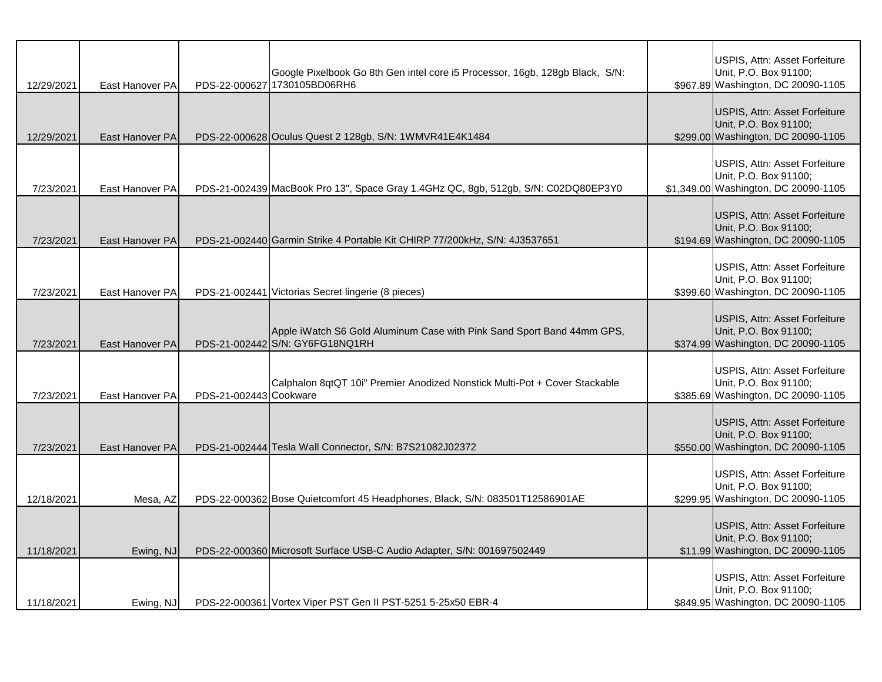| 12/29/2021 | East Hanover PA |                        | Google Pixelbook Go 8th Gen intel core i5 Processor, 16gb, 128gb Black, S/N:<br>PDS-22-000627 1730105BD06RH6 | USPIS, Attn: Asset Forfeiture<br>Unit, P.O. Box 91100;<br>\$967.89 Washington, DC 20090-1105   |
|------------|-----------------|------------------------|--------------------------------------------------------------------------------------------------------------|------------------------------------------------------------------------------------------------|
| 12/29/2021 | East Hanover PA |                        | PDS-22-000628 Oculus Quest 2 128gb, S/N: 1WMVR41E4K1484                                                      | USPIS, Attn: Asset Forfeiture<br>Unit, P.O. Box 91100;<br>\$299.00 Washington, DC 20090-1105   |
| 7/23/2021  | East Hanover PA |                        | PDS-21-002439 MacBook Pro 13", Space Gray 1.4GHz QC, 8gb, 512gb, S/N: C02DQ80EP3Y0                           | USPIS, Attn: Asset Forfeiture<br>Unit, P.O. Box 91100;<br>\$1,349.00 Washington, DC 20090-1105 |
| 7/23/2021  | East Hanover PA |                        | PDS-21-002440 Garmin Strike 4 Portable Kit CHIRP 77/200kHz, S/N: 4J3537651                                   | USPIS, Attn: Asset Forfeiture<br>Unit, P.O. Box 91100;<br>\$194.69 Washington, DC 20090-1105   |
| 7/23/2021  | East Hanover PA |                        | PDS-21-002441 Victorias Secret lingerie (8 pieces)                                                           | USPIS, Attn: Asset Forfeiture<br>Unit, P.O. Box 91100;<br>\$399.60 Washington, DC 20090-1105   |
| 7/23/2021  | East Hanover PA |                        | Apple iWatch S6 Gold Aluminum Case with Pink Sand Sport Band 44mm GPS,<br>PDS-21-002442 S/N: GY6FG18NQ1RH    | USPIS, Attn: Asset Forfeiture<br>Unit, P.O. Box 91100;<br>\$374.99 Washington, DC 20090-1105   |
| 7/23/2021  | East Hanover PA | PDS-21-002443 Cookware | Calphalon 8qtQT 10i" Premier Anodized Nonstick Multi-Pot + Cover Stackable                                   | USPIS, Attn: Asset Forfeiture<br>Unit, P.O. Box 91100;<br>\$385.69 Washington, DC 20090-1105   |
| 7/23/2021  | East Hanover PA |                        | PDS-21-002444 Tesla Wall Connector, S/N: B7S21082J02372                                                      | USPIS, Attn: Asset Forfeiture<br>Unit, P.O. Box 91100;<br>\$550.00 Washington, DC 20090-1105   |
| 12/18/2021 | Mesa, AZ        |                        | PDS-22-000362 Bose Quietcomfort 45 Headphones, Black, S/N: 083501T12586901AE                                 | USPIS, Attn: Asset Forfeiture<br>Unit, P.O. Box 91100;<br>\$299.95 Washington, DC 20090-1105   |
| 11/18/2021 | Ewing, NJ       |                        | PDS-22-000360 Microsoft Surface USB-C Audio Adapter, S/N: 001697502449                                       | USPIS, Attn: Asset Forfeiture<br>Unit, P.O. Box 91100;<br>\$11.99 Washington, DC 20090-1105    |
| 11/18/2021 | Ewing, NJ       |                        | PDS-22-000361 Vortex Viper PST Gen II PST-5251 5-25x50 EBR-4                                                 | USPIS, Attn: Asset Forfeiture<br>Unit, P.O. Box 91100;<br>\$849.95 Washington, DC 20090-1105   |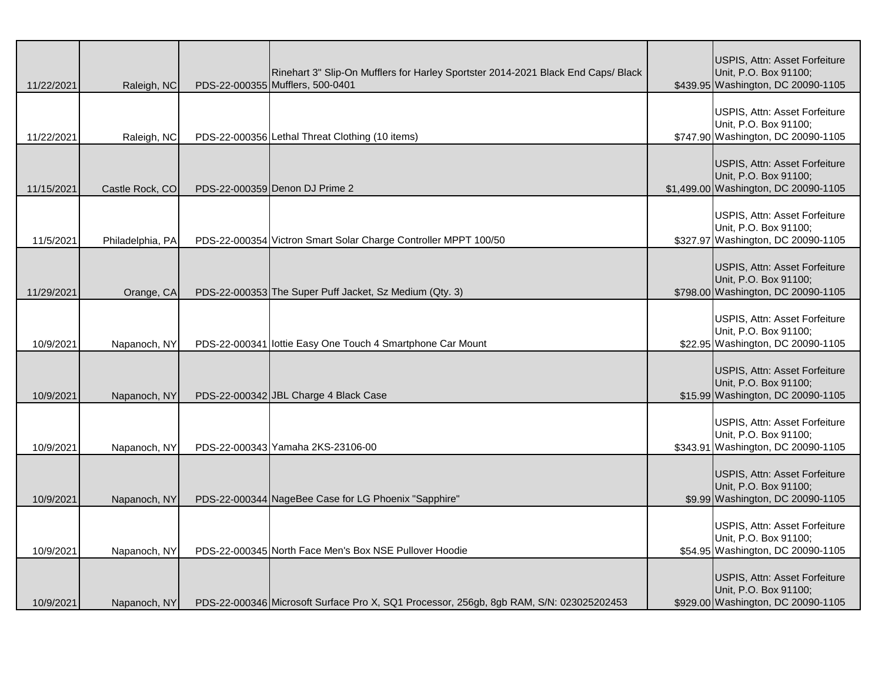| 11/22/2021 | Raleigh, NC      | Rinehart 3" Slip-On Mufflers for Harley Sportster 2014-2021 Black End Caps/ Black<br>PDS-22-000355 Mufflers, 500-0401 | USPIS, Attn: Asset Forfeiture<br>Unit, P.O. Box 91100;<br>\$439.95 Washington, DC 20090-1105   |
|------------|------------------|-----------------------------------------------------------------------------------------------------------------------|------------------------------------------------------------------------------------------------|
| 11/22/2021 | Raleigh, NC      | PDS-22-000356 Lethal Threat Clothing (10 items)                                                                       | USPIS, Attn: Asset Forfeiture<br>Unit, P.O. Box 91100;<br>\$747.90 Washington, DC 20090-1105   |
| 11/15/2021 | Castle Rock, CO  | PDS-22-000359 Denon DJ Prime 2                                                                                        | USPIS, Attn: Asset Forfeiture<br>Unit, P.O. Box 91100;<br>\$1,499.00 Washington, DC 20090-1105 |
| 11/5/2021  | Philadelphia, PA | PDS-22-000354 Victron Smart Solar Charge Controller MPPT 100/50                                                       | USPIS, Attn: Asset Forfeiture<br>Unit, P.O. Box 91100;<br>\$327.97 Washington, DC 20090-1105   |
| 11/29/2021 | Orange, CA       | PDS-22-000353 The Super Puff Jacket, Sz Medium (Qty. 3)                                                               | USPIS, Attn: Asset Forfeiture<br>Unit, P.O. Box 91100;<br>\$798.00 Washington, DC 20090-1105   |
| 10/9/2021  | Napanoch, NY     | PDS-22-000341 lottie Easy One Touch 4 Smartphone Car Mount                                                            | USPIS, Attn: Asset Forfeiture<br>Unit, P.O. Box 91100;<br>\$22.95 Washington, DC 20090-1105    |
| 10/9/2021  | Napanoch, NY     | PDS-22-000342 JBL Charge 4 Black Case                                                                                 | USPIS, Attn: Asset Forfeiture<br>Unit, P.O. Box 91100;<br>\$15.99 Washington, DC 20090-1105    |
| 10/9/2021  | Napanoch, NY     | PDS-22-000343 Yamaha 2KS-23106-00                                                                                     | USPIS, Attn: Asset Forfeiture<br>Unit, P.O. Box 91100;<br>\$343.91 Washington, DC 20090-1105   |
| 10/9/2021  | Napanoch, NY     | PDS-22-000344 NageBee Case for LG Phoenix "Sapphire"                                                                  | USPIS, Attn: Asset Forfeiture<br>Unit, P.O. Box 91100;<br>\$9.99 Washington, DC 20090-1105     |
| 10/9/2021  | Napanoch, NY     | PDS-22-000345 North Face Men's Box NSE Pullover Hoodie                                                                | USPIS, Attn: Asset Forfeiture<br>Unit, P.O. Box 91100;<br>\$54.95 Washington, DC 20090-1105    |
| 10/9/2021  | Napanoch, NY     | PDS-22-000346 Microsoft Surface Pro X, SQ1 Processor, 256gb, 8gb RAM, S/N: 023025202453                               | USPIS, Attn: Asset Forfeiture<br>Unit, P.O. Box 91100;<br>\$929.00 Washington, DC 20090-1105   |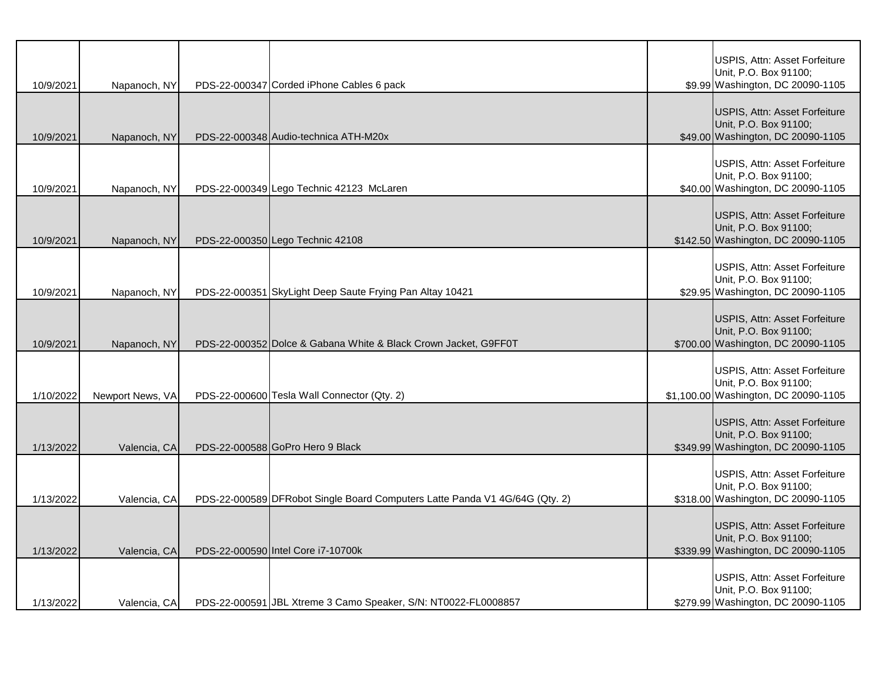| 10/9/2021 | Napanoch, NY     | PDS-22-000347 Corded iPhone Cables 6 pack                                   | USPIS, Attn: Asset Forfeiture<br>Unit, P.O. Box 91100;<br>\$9.99 Washington, DC 20090-1105     |
|-----------|------------------|-----------------------------------------------------------------------------|------------------------------------------------------------------------------------------------|
| 10/9/2021 | Napanoch, NY     | PDS-22-000348 Audio-technica ATH-M20x                                       | USPIS, Attn: Asset Forfeiture<br>Unit, P.O. Box 91100;<br>\$49.00 Washington, DC 20090-1105    |
| 10/9/2021 | Napanoch, NY     | PDS-22-000349 Lego Technic 42123 McLaren                                    | USPIS, Attn: Asset Forfeiture<br>Unit, P.O. Box 91100;<br>\$40.00 Washington, DC 20090-1105    |
| 10/9/2021 | Napanoch, NY     | PDS-22-000350 Lego Technic 42108                                            | USPIS, Attn: Asset Forfeiture<br>Unit, P.O. Box 91100;<br>\$142.50 Washington, DC 20090-1105   |
| 10/9/2021 | Napanoch, NY     | PDS-22-000351 SkyLight Deep Saute Frying Pan Altay 10421                    | USPIS, Attn: Asset Forfeiture<br>Unit, P.O. Box 91100;<br>\$29.95 Washington, DC 20090-1105    |
| 10/9/2021 | Napanoch, NY     | PDS-22-000352 Dolce & Gabana White & Black Crown Jacket, G9FF0T             | USPIS, Attn: Asset Forfeiture<br>Unit, P.O. Box 91100;<br>\$700.00 Washington, DC 20090-1105   |
| 1/10/2022 | Newport News, VA | PDS-22-000600 Tesla Wall Connector (Qty. 2)                                 | USPIS, Attn: Asset Forfeiture<br>Unit, P.O. Box 91100;<br>\$1,100.00 Washington, DC 20090-1105 |
| 1/13/2022 | Valencia, CA     | PDS-22-000588 GoPro Hero 9 Black                                            | USPIS, Attn: Asset Forfeiture<br>Unit, P.O. Box 91100;<br>\$349.99 Washington, DC 20090-1105   |
| 1/13/2022 | Valencia, CA     | PDS-22-000589 DFRobot Single Board Computers Latte Panda V1 4G/64G (Qty. 2) | USPIS, Attn: Asset Forfeiture<br>Unit, P.O. Box 91100;<br>\$318.00 Washington, DC 20090-1105   |
| 1/13/2022 | Valencia, CA     | PDS-22-000590 Intel Core i7-10700k                                          | USPIS, Attn: Asset Forfeiture<br>Unit, P.O. Box 91100;<br>\$339.99 Washington, DC 20090-1105   |
| 1/13/2022 | Valencia, CA     | PDS-22-000591 JBL Xtreme 3 Camo Speaker, S/N: NT0022-FL0008857              | USPIS, Attn: Asset Forfeiture<br>Unit, P.O. Box 91100;<br>\$279.99 Washington, DC 20090-1105   |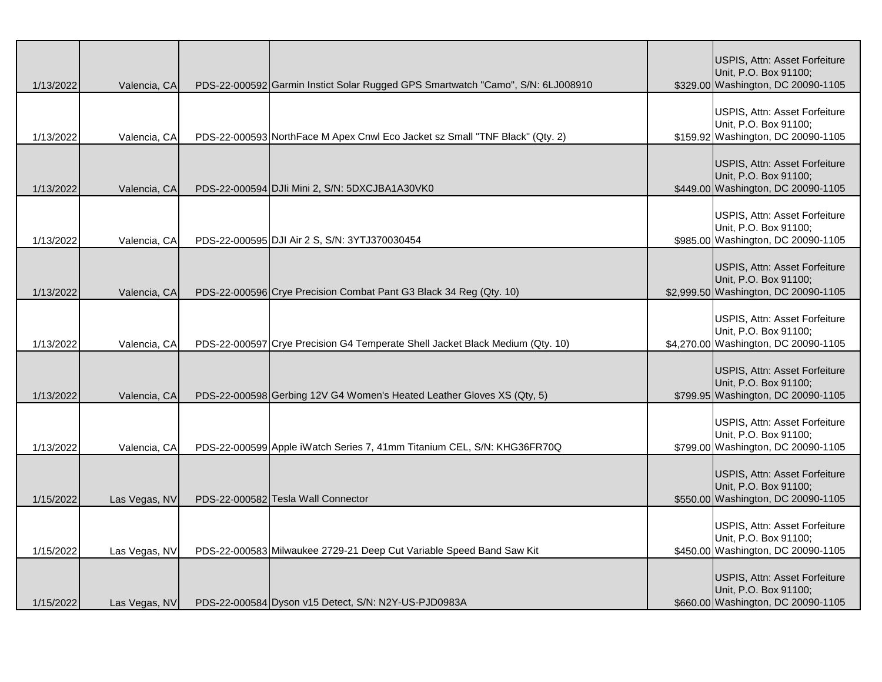| 1/13/2022 | Valencia, CA  | PDS-22-000592 Garmin Instict Solar Rugged GPS Smartwatch "Camo", S/N: 6LJ008910 | USPIS, Attn: Asset Forfeiture<br>Unit, P.O. Box 91100;<br>\$329.00 Washington, DC 20090-1105   |
|-----------|---------------|---------------------------------------------------------------------------------|------------------------------------------------------------------------------------------------|
| 1/13/2022 | Valencia, CA  | PDS-22-000593 NorthFace M Apex Cnwl Eco Jacket sz Small "TNF Black" (Qty. 2)    | USPIS, Attn: Asset Forfeiture<br>Unit, P.O. Box 91100;<br>\$159.92 Washington, DC 20090-1105   |
| 1/13/2022 | Valencia, CA  | PDS-22-000594 DJIi Mini 2, S/N: 5DXCJBA1A30VK0                                  | USPIS, Attn: Asset Forfeiture<br>Unit, P.O. Box 91100;<br>\$449.00 Washington, DC 20090-1105   |
| 1/13/2022 | Valencia, CA  | PDS-22-000595 DJI Air 2 S, S/N: 3YTJ370030454                                   | USPIS, Attn: Asset Forfeiture<br>Unit, P.O. Box 91100;<br>\$985.00 Washington, DC 20090-1105   |
| 1/13/2022 | Valencia, CA  | PDS-22-000596 Crye Precision Combat Pant G3 Black 34 Reg (Qty. 10)              | USPIS, Attn: Asset Forfeiture<br>Unit, P.O. Box 91100;<br>\$2,999.50 Washington, DC 20090-1105 |
| 1/13/2022 | Valencia, CA  | PDS-22-000597 Crye Precision G4 Temperate Shell Jacket Black Medium (Qty. 10)   | USPIS, Attn: Asset Forfeiture<br>Unit, P.O. Box 91100;<br>\$4,270.00 Washington, DC 20090-1105 |
| 1/13/2022 | Valencia, CA  | PDS-22-000598 Gerbing 12V G4 Women's Heated Leather Gloves XS (Qty, 5)          | USPIS, Attn: Asset Forfeiture<br>Unit, P.O. Box 91100;<br>\$799.95 Washington, DC 20090-1105   |
| 1/13/2022 | Valencia, CA  | PDS-22-000599 Apple iWatch Series 7, 41mm Titanium CEL, S/N: KHG36FR70Q         | USPIS, Attn: Asset Forfeiture<br>Unit, P.O. Box 91100;<br>\$799.00 Washington, DC 20090-1105   |
| 1/15/2022 | Las Vegas, NV | PDS-22-000582 Tesla Wall Connector                                              | USPIS, Attn: Asset Forfeiture<br>Unit, P.O. Box 91100;<br>\$550.00 Washington, DC 20090-1105   |
| 1/15/2022 | Las Vegas, NV | PDS-22-000583 Milwaukee 2729-21 Deep Cut Variable Speed Band Saw Kit            | USPIS, Attn: Asset Forfeiture<br>Unit, P.O. Box 91100;<br>\$450.00 Washington, DC 20090-1105   |
| 1/15/2022 | Las Vegas, NV | PDS-22-000584 Dyson v15 Detect, S/N: N2Y-US-PJD0983A                            | USPIS, Attn: Asset Forfeiture<br>Unit, P.O. Box 91100;<br>\$660.00 Washington, DC 20090-1105   |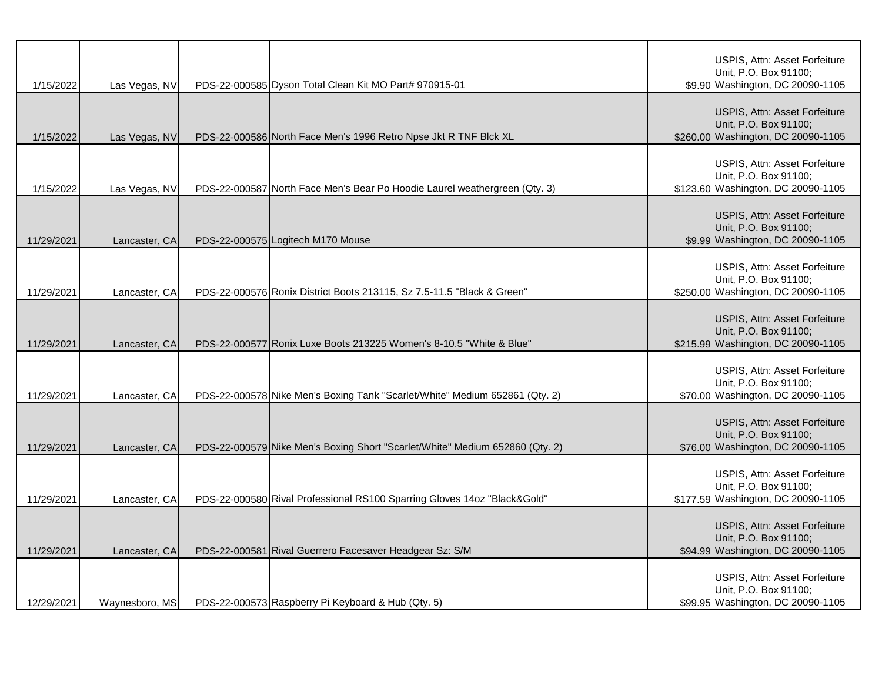| 1/15/2022  | Las Vegas, NV  | PDS-22-000585 Dyson Total Clean Kit MO Part# 970915-01                       | USPIS, Attn: Asset Forfeiture<br>Unit, P.O. Box 91100;<br>\$9.90 Washington, DC 20090-1105   |
|------------|----------------|------------------------------------------------------------------------------|----------------------------------------------------------------------------------------------|
| 1/15/2022  | Las Vegas, NV  | PDS-22-000586 North Face Men's 1996 Retro Npse Jkt R TNF Blck XL             | USPIS, Attn: Asset Forfeiture<br>Unit, P.O. Box 91100;<br>\$260.00 Washington, DC 20090-1105 |
| 1/15/2022  | Las Vegas, NV  | PDS-22-000587 North Face Men's Bear Po Hoodie Laurel weathergreen (Qty. 3)   | USPIS, Attn: Asset Forfeiture<br>Unit, P.O. Box 91100;<br>\$123.60 Washington, DC 20090-1105 |
| 11/29/2021 | Lancaster, CA  | PDS-22-000575 Logitech M170 Mouse                                            | USPIS, Attn: Asset Forfeiture<br>Unit, P.O. Box 91100;<br>\$9.99 Washington, DC 20090-1105   |
| 11/29/2021 | Lancaster, CA  | PDS-22-000576 Ronix District Boots 213115, Sz 7.5-11.5 "Black & Green"       | USPIS, Attn: Asset Forfeiture<br>Unit, P.O. Box 91100;<br>\$250.00 Washington, DC 20090-1105 |
| 11/29/2021 | Lancaster, CA  | PDS-22-000577 Ronix Luxe Boots 213225 Women's 8-10.5 "White & Blue"          | USPIS, Attn: Asset Forfeiture<br>Unit, P.O. Box 91100;<br>\$215.99 Washington, DC 20090-1105 |
| 11/29/2021 | Lancaster, CA  | PDS-22-000578 Nike Men's Boxing Tank "Scarlet/White" Medium 652861 (Qty. 2)  | USPIS, Attn: Asset Forfeiture<br>Unit, P.O. Box 91100;<br>\$70.00 Washington, DC 20090-1105  |
| 11/29/2021 | Lancaster, CA  | PDS-22-000579 Nike Men's Boxing Short "Scarlet/White" Medium 652860 (Qty. 2) | USPIS, Attn: Asset Forfeiture<br>Unit, P.O. Box 91100;<br>\$76.00 Washington, DC 20090-1105  |
| 11/29/2021 | Lancaster, CA  | PDS-22-000580 Rival Professional RS100 Sparring Gloves 14oz "Black&Gold"     | USPIS, Attn: Asset Forfeiture<br>Unit, P.O. Box 91100;<br>\$177.59 Washington, DC 20090-1105 |
| 11/29/2021 | Lancaster, CA  | PDS-22-000581 Rival Guerrero Facesaver Headgear Sz: S/M                      | USPIS, Attn: Asset Forfeiture<br>Unit, P.O. Box 91100;<br>\$94.99 Washington, DC 20090-1105  |
| 12/29/2021 | Waynesboro, MS | PDS-22-000573 Raspberry Pi Keyboard & Hub (Qty. 5)                           | USPIS, Attn: Asset Forfeiture<br>Unit, P.O. Box 91100;<br>\$99.95 Washington, DC 20090-1105  |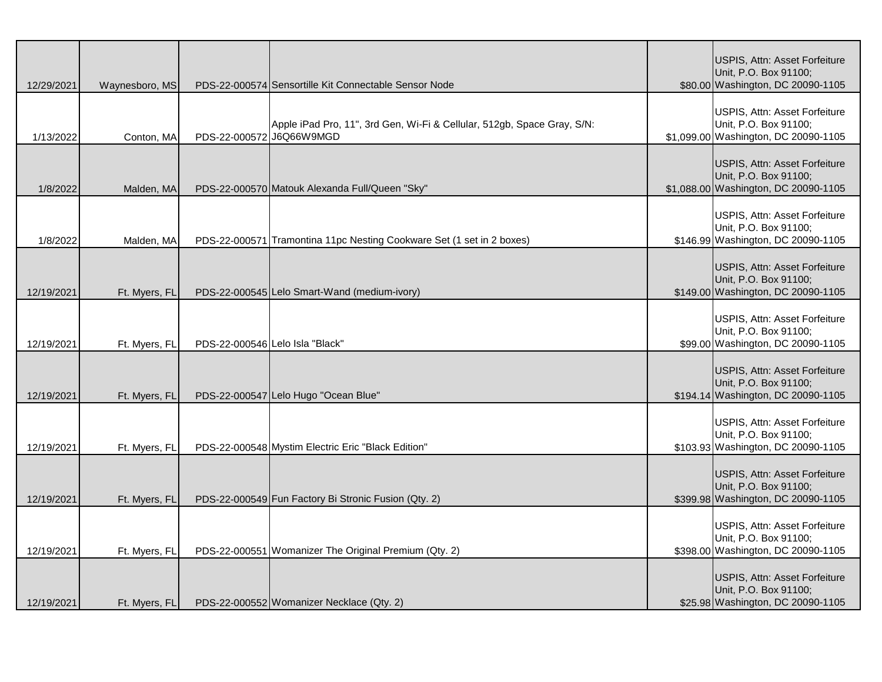| 12/29/2021 | Waynesboro, MS |                          | PDS-22-000574 Sensortille Kit Connectable Sensor Node                   | USPIS, Attn: Asset Forfeiture<br>Unit, P.O. Box 91100;<br>\$80.00 Washington, DC 20090-1105    |
|------------|----------------|--------------------------|-------------------------------------------------------------------------|------------------------------------------------------------------------------------------------|
| 1/13/2022  | Conton, MA     | PDS-22-000572 J6Q66W9MGD | Apple iPad Pro, 11", 3rd Gen, Wi-Fi & Cellular, 512gb, Space Gray, S/N: | USPIS, Attn: Asset Forfeiture<br>Unit, P.O. Box 91100;<br>\$1,099.00 Washington, DC 20090-1105 |
| 1/8/2022   | Malden, MA     |                          | PDS-22-000570 Matouk Alexanda Full/Queen "Sky"                          | USPIS, Attn: Asset Forfeiture<br>Unit, P.O. Box 91100;<br>\$1,088.00 Washington, DC 20090-1105 |
| 1/8/2022   | Malden, MA     |                          | PDS-22-000571 Tramontina 11pc Nesting Cookware Set (1 set in 2 boxes)   | USPIS, Attn: Asset Forfeiture<br>Unit, P.O. Box 91100;<br>\$146.99 Washington, DC 20090-1105   |
| 12/19/2021 | Ft. Myers, FL  |                          | PDS-22-000545 Lelo Smart-Wand (medium-ivory)                            | USPIS, Attn: Asset Forfeiture<br>Unit, P.O. Box 91100;<br>\$149.00 Washington, DC 20090-1105   |
| 12/19/2021 | Ft. Myers, FL  |                          | PDS-22-000546 Lelo Isla "Black"                                         | USPIS, Attn: Asset Forfeiture<br>Unit, P.O. Box 91100;<br>\$99.00 Washington, DC 20090-1105    |
| 12/19/2021 | Ft. Myers, FL  |                          | PDS-22-000547 Lelo Hugo "Ocean Blue"                                    | USPIS, Attn: Asset Forfeiture<br>Unit, P.O. Box 91100;<br>\$194.14 Washington, DC 20090-1105   |
| 12/19/2021 | Ft. Myers, FL  |                          | PDS-22-000548 Mystim Electric Eric "Black Edition"                      | USPIS, Attn: Asset Forfeiture<br>Unit, P.O. Box 91100;<br>\$103.93 Washington, DC 20090-1105   |
| 12/19/2021 | Ft. Myers, FL  |                          | PDS-22-000549 Fun Factory Bi Stronic Fusion (Qty. 2)                    | USPIS, Attn: Asset Forfeiture<br>Unit, P.O. Box 91100;<br>\$399.98 Washington, DC 20090-1105   |
| 12/19/2021 | Ft. Myers, FL  |                          | PDS-22-000551 Womanizer The Original Premium (Qty. 2)                   | USPIS, Attn: Asset Forfeiture<br>Unit, P.O. Box 91100;<br>\$398.00 Washington, DC 20090-1105   |
| 12/19/2021 | Ft. Myers, FL  |                          | PDS-22-000552 Womanizer Necklace (Qty. 2)                               | USPIS, Attn: Asset Forfeiture<br>Unit, P.O. Box 91100;<br>\$25.98 Washington, DC 20090-1105    |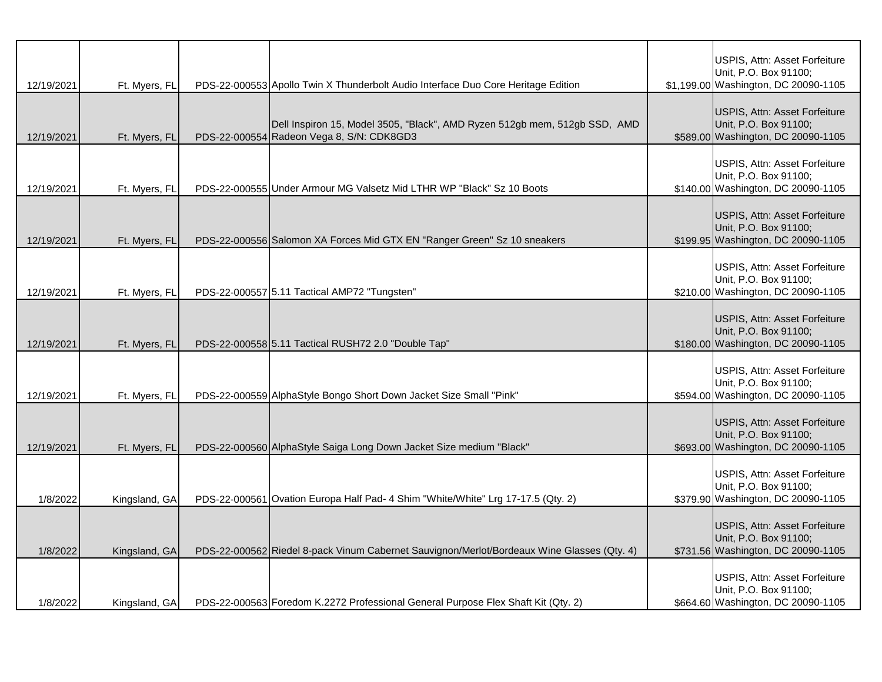| 12/19/2021 | Ft. Myers, FL | PDS-22-000553 Apollo Twin X Thunderbolt Audio Interface Duo Core Heritage Edition                                       | USPIS, Attn: Asset Forfeiture<br>Unit, P.O. Box 91100;<br>\$1,199.00 Washington, DC 20090-1105 |
|------------|---------------|-------------------------------------------------------------------------------------------------------------------------|------------------------------------------------------------------------------------------------|
| 12/19/2021 | Ft. Myers, FL | Dell Inspiron 15, Model 3505, "Black", AMD Ryzen 512gb mem, 512gb SSD, AMD<br>PDS-22-000554 Radeon Vega 8, S/N: CDK8GD3 | USPIS, Attn: Asset Forfeiture<br>Unit, P.O. Box 91100;<br>\$589.00 Washington, DC 20090-1105   |
| 12/19/2021 | Ft. Myers, FL | PDS-22-000555 Under Armour MG Valsetz Mid LTHR WP "Black" Sz 10 Boots                                                   | USPIS, Attn: Asset Forfeiture<br>Unit, P.O. Box 91100;<br>\$140.00 Washington, DC 20090-1105   |
| 12/19/2021 | Ft. Myers, FL | PDS-22-000556 Salomon XA Forces Mid GTX EN "Ranger Green" Sz 10 sneakers                                                | USPIS, Attn: Asset Forfeiture<br>Unit, P.O. Box 91100;<br>\$199.95 Washington, DC 20090-1105   |
| 12/19/2021 | Ft. Myers, FL | PDS-22-000557 5.11 Tactical AMP72 "Tungsten"                                                                            | USPIS, Attn: Asset Forfeiture<br>Unit, P.O. Box 91100;<br>\$210.00 Washington, DC 20090-1105   |
| 12/19/2021 | Ft. Myers, FL | PDS-22-000558 5.11 Tactical RUSH72 2.0 "Double Tap"                                                                     | USPIS, Attn: Asset Forfeiture<br>Unit, P.O. Box 91100;<br>\$180.00 Washington, DC 20090-1105   |
| 12/19/2021 | Ft. Myers, FL | PDS-22-000559 AlphaStyle Bongo Short Down Jacket Size Small "Pink"                                                      | USPIS, Attn: Asset Forfeiture<br>Unit, P.O. Box 91100;<br>\$594.00 Washington, DC 20090-1105   |
| 12/19/2021 | Ft. Myers, FL | PDS-22-000560 AlphaStyle Saiga Long Down Jacket Size medium "Black"                                                     | USPIS, Attn: Asset Forfeiture<br>Unit, P.O. Box 91100;<br>\$693.00 Washington, DC 20090-1105   |
| 1/8/2022   | Kingsland, GA | PDS-22-000561 Ovation Europa Half Pad- 4 Shim "White/White" Lrg 17-17.5 (Qty. 2)                                        | USPIS, Attn: Asset Forfeiture<br>Unit, P.O. Box 91100;<br>\$379.90 Washington, DC 20090-1105   |
| 1/8/2022   | Kingsland, GA | PDS-22-000562 Riedel 8-pack Vinum Cabernet Sauvignon/Merlot/Bordeaux Wine Glasses (Qty. 4)                              | USPIS, Attn: Asset Forfeiture<br>Unit, P.O. Box 91100;<br>\$731.56 Washington, DC 20090-1105   |
| 1/8/2022   | Kingsland, GA | PDS-22-000563 Foredom K.2272 Professional General Purpose Flex Shaft Kit (Qty. 2)                                       | USPIS, Attn: Asset Forfeiture<br>Unit, P.O. Box 91100;<br>\$664.60 Washington, DC 20090-1105   |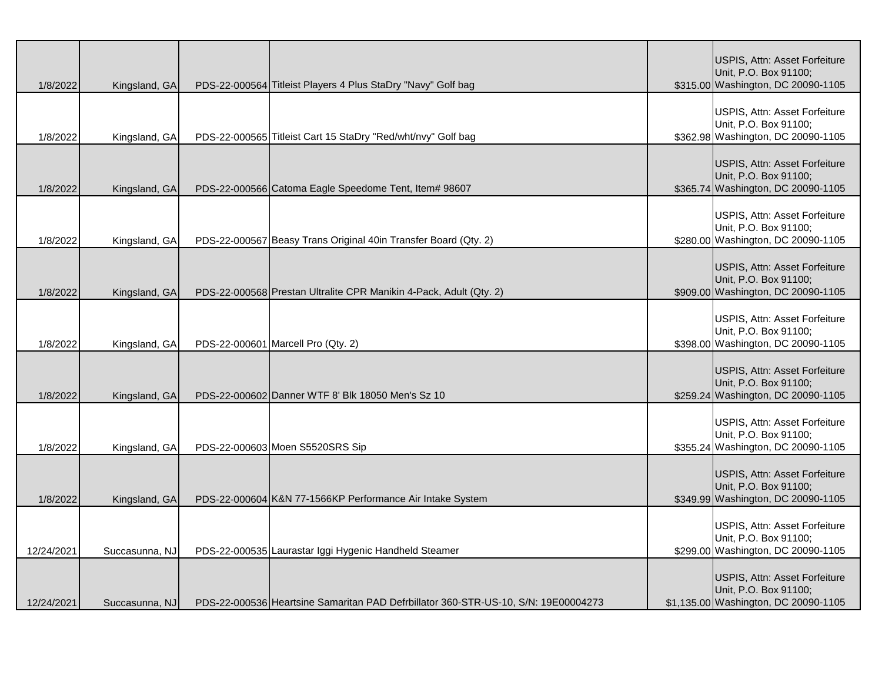| 1/8/2022   | Kingsland, GA  | PDS-22-000564 Titleist Players 4 Plus StaDry "Navy" Golf bag                       | USPIS, Attn: Asset Forfeiture<br>Unit, P.O. Box 91100;<br>\$315.00 Washington, DC 20090-1105   |
|------------|----------------|------------------------------------------------------------------------------------|------------------------------------------------------------------------------------------------|
| 1/8/2022   | Kingsland, GA  | PDS-22-000565 Titleist Cart 15 StaDry "Red/wht/nvy" Golf bag                       | USPIS, Attn: Asset Forfeiture<br>Unit, P.O. Box 91100;<br>\$362.98 Washington, DC 20090-1105   |
| 1/8/2022   | Kingsland, GA  | PDS-22-000566 Catoma Eagle Speedome Tent, Item# 98607                              | USPIS, Attn: Asset Forfeiture<br>Unit, P.O. Box 91100;<br>\$365.74 Washington, DC 20090-1105   |
| 1/8/2022   | Kingsland, GA  | PDS-22-000567 Beasy Trans Original 40in Transfer Board (Qty. 2)                    | USPIS, Attn: Asset Forfeiture<br>Unit, P.O. Box 91100;<br>\$280.00 Washington, DC 20090-1105   |
| 1/8/2022   | Kingsland, GA  | PDS-22-000568 Prestan Ultralite CPR Manikin 4-Pack, Adult (Qty. 2)                 | USPIS, Attn: Asset Forfeiture<br>Unit, P.O. Box 91100;<br>\$909.00 Washington, DC 20090-1105   |
| 1/8/2022   | Kingsland, GA  | PDS-22-000601 Marcell Pro (Qty. 2)                                                 | USPIS, Attn: Asset Forfeiture<br>Unit, P.O. Box 91100;<br>\$398.00 Washington, DC 20090-1105   |
| 1/8/2022   | Kingsland, GA  | PDS-22-000602 Danner WTF 8' Blk 18050 Men's Sz 10                                  | USPIS, Attn: Asset Forfeiture<br>Unit, P.O. Box 91100;<br>\$259.24 Washington, DC 20090-1105   |
| 1/8/2022   | Kingsland, GA  | PDS-22-000603 Moen S5520SRS Sip                                                    | USPIS, Attn: Asset Forfeiture<br>Unit, P.O. Box 91100;<br>\$355.24 Washington, DC 20090-1105   |
| 1/8/2022   | Kingsland, GA  | PDS-22-000604 K&N 77-1566KP Performance Air Intake System                          | USPIS, Attn: Asset Forfeiture<br>Unit, P.O. Box 91100;<br>\$349.99 Washington, DC 20090-1105   |
| 12/24/2021 | Succasunna, NJ | PDS-22-000535 Laurastar Iggi Hygenic Handheld Steamer                              | USPIS, Attn: Asset Forfeiture<br>Unit, P.O. Box 91100;<br>\$299.00 Washington, DC 20090-1105   |
| 12/24/2021 | Succasunna, NJ | PDS-22-000536 Heartsine Samaritan PAD Defrbillator 360-STR-US-10, S/N: 19E00004273 | USPIS, Attn: Asset Forfeiture<br>Unit, P.O. Box 91100;<br>\$1,135.00 Washington, DC 20090-1105 |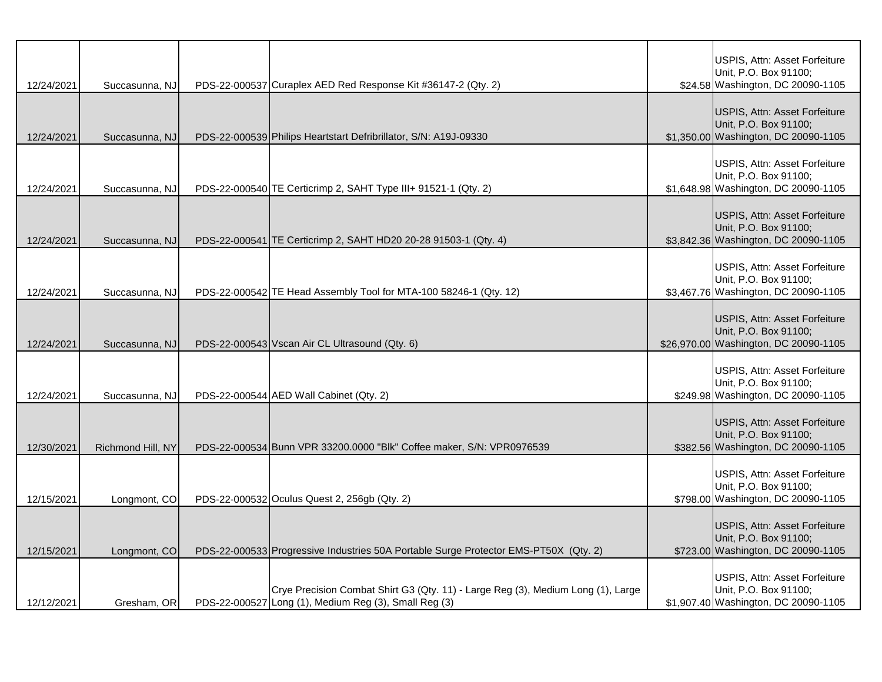| 12/24/2021 | Succasunna, NJ    | PDS-22-000537 Curaplex AED Red Response Kit #36147-2 (Qty. 2)                                                                             | USPIS, Attn: Asset Forfeiture<br>Unit, P.O. Box 91100;<br>\$24.58 Washington, DC 20090-1105     |
|------------|-------------------|-------------------------------------------------------------------------------------------------------------------------------------------|-------------------------------------------------------------------------------------------------|
| 12/24/2021 | Succasunna, NJ    | PDS-22-000539 Philips Heartstart Defribrillator, S/N: A19J-09330                                                                          | USPIS, Attn: Asset Forfeiture<br>Unit, P.O. Box 91100;<br>\$1,350.00 Washington, DC 20090-1105  |
| 12/24/2021 | Succasunna, NJ    | PDS-22-000540 TE Certicrimp 2, SAHT Type III+ 91521-1 (Qty. 2)                                                                            | USPIS, Attn: Asset Forfeiture<br>Unit, P.O. Box 91100;<br>\$1,648.98 Washington, DC 20090-1105  |
| 12/24/2021 | Succasunna, NJ    | PDS-22-000541 TE Certicrimp 2, SAHT HD20 20-28 91503-1 (Qty. 4)                                                                           | USPIS, Attn: Asset Forfeiture<br>Unit, P.O. Box 91100;<br>\$3,842.36 Washington, DC 20090-1105  |
| 12/24/2021 | Succasunna, NJ    | PDS-22-000542 TE Head Assembly Tool for MTA-100 58246-1 (Qty. 12)                                                                         | USPIS, Attn: Asset Forfeiture<br>Unit, P.O. Box 91100;<br>\$3,467.76 Washington, DC 20090-1105  |
| 12/24/2021 | Succasunna, NJ    | PDS-22-000543 Vscan Air CL Ultrasound (Qty. 6)                                                                                            | USPIS, Attn: Asset Forfeiture<br>Unit, P.O. Box 91100;<br>\$26,970.00 Washington, DC 20090-1105 |
| 12/24/2021 | Succasunna, NJ    | PDS-22-000544 AED Wall Cabinet (Qty. 2)                                                                                                   | USPIS, Attn: Asset Forfeiture<br>Unit, P.O. Box 91100;<br>\$249.98 Washington, DC 20090-1105    |
| 12/30/2021 | Richmond Hill, NY | PDS-22-000534 Bunn VPR 33200.0000 "Blk" Coffee maker, S/N: VPR0976539                                                                     | USPIS, Attn: Asset Forfeiture<br>Unit, P.O. Box 91100;<br>\$382.56 Washington, DC 20090-1105    |
| 12/15/2021 | Longmont, CO      | PDS-22-000532 Oculus Quest 2, 256gb (Qty. 2)                                                                                              | USPIS, Attn: Asset Forfeiture<br>Unit, P.O. Box 91100;<br>\$798.00 Washington, DC 20090-1105    |
| 12/15/2021 | Longmont, CO      | PDS-22-000533 Progressive Industries 50A Portable Surge Protector EMS-PT50X (Qty. 2)                                                      | USPIS, Attn: Asset Forfeiture<br>Unit, P.O. Box 91100;<br>\$723.00 Washington, DC 20090-1105    |
| 12/12/2021 | Gresham, OR       | Crye Precision Combat Shirt G3 (Qty. 11) - Large Reg (3), Medium Long (1), Large<br>PDS-22-000527 Long (1), Medium Reg (3), Small Reg (3) | USPIS, Attn: Asset Forfeiture<br>Unit, P.O. Box 91100;<br>\$1,907.40 Washington, DC 20090-1105  |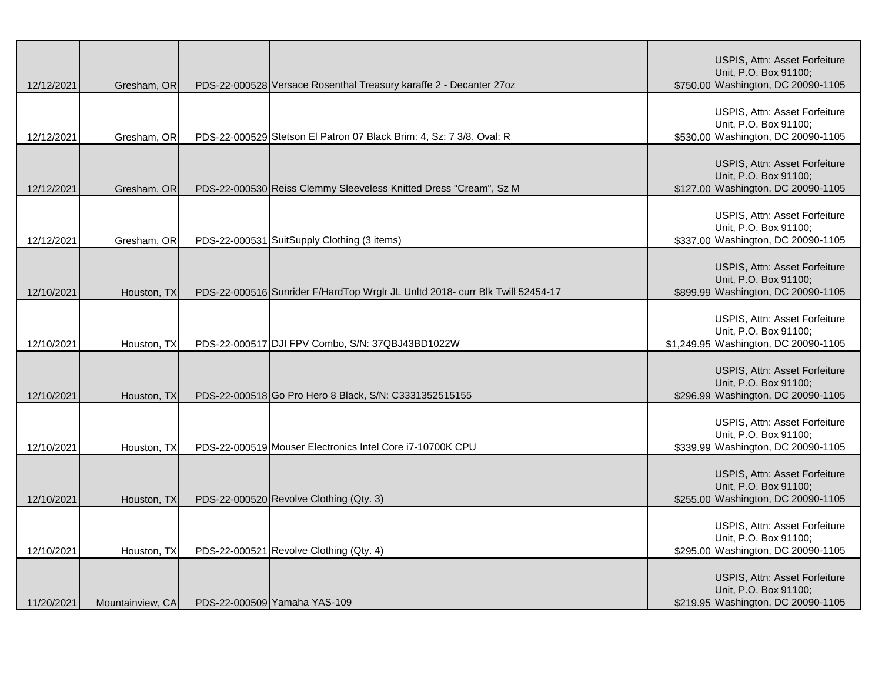| 12/12/2021 | Gresham, OR      | PDS-22-000528 Versace Rosenthal Treasury karaffe 2 - Decanter 27oz            | USPIS, Attn: Asset Forfeiture<br>Unit, P.O. Box 91100;<br>\$750.00 Washington, DC 20090-1105   |
|------------|------------------|-------------------------------------------------------------------------------|------------------------------------------------------------------------------------------------|
| 12/12/2021 | Gresham, OR      | PDS-22-000529 Stetson El Patron 07 Black Brim: 4, Sz: 7 3/8, Oval: R          | USPIS, Attn: Asset Forfeiture<br>Unit, P.O. Box 91100;<br>\$530.00 Washington, DC 20090-1105   |
| 12/12/2021 | Gresham, OR      | PDS-22-000530 Reiss Clemmy Sleeveless Knitted Dress "Cream", Sz M             | USPIS, Attn: Asset Forfeiture<br>Unit, P.O. Box 91100;<br>\$127.00 Washington, DC 20090-1105   |
| 12/12/2021 | Gresham, OR      | PDS-22-000531 SuitSupply Clothing (3 items)                                   | USPIS, Attn: Asset Forfeiture<br>Unit, P.O. Box 91100;<br>\$337.00 Washington, DC 20090-1105   |
| 12/10/2021 | Houston, TX      | PDS-22-000516 Sunrider F/HardTop Wrglr JL Unitd 2018- curr Blk Twill 52454-17 | USPIS, Attn: Asset Forfeiture<br>Unit, P.O. Box 91100;<br>\$899.99 Washington, DC 20090-1105   |
| 12/10/2021 | Houston, TX      | PDS-22-000517 DJI FPV Combo, S/N: 37QBJ43BD1022W                              | USPIS, Attn: Asset Forfeiture<br>Unit, P.O. Box 91100;<br>\$1,249.95 Washington, DC 20090-1105 |
| 12/10/2021 | Houston, TX      | PDS-22-000518 Go Pro Hero 8 Black, S/N: C3331352515155                        | USPIS, Attn: Asset Forfeiture<br>Unit, P.O. Box 91100;<br>\$296.99 Washington, DC 20090-1105   |
| 12/10/2021 | Houston, TX      | PDS-22-000519 Mouser Electronics Intel Core i7-10700K CPU                     | USPIS, Attn: Asset Forfeiture<br>Unit, P.O. Box 91100;<br>\$339.99 Washington, DC 20090-1105   |
| 12/10/2021 | Houston, TX      | PDS-22-000520 Revolve Clothing (Qty. 3)                                       | USPIS, Attn: Asset Forfeiture<br>Unit, P.O. Box 91100;<br>\$255.00 Washington, DC 20090-1105   |
| 12/10/2021 | Houston, TX      | PDS-22-000521 Revolve Clothing (Qty. 4)                                       | USPIS, Attn: Asset Forfeiture<br>Unit, P.O. Box 91100;<br>\$295.00 Washington, DC 20090-1105   |
| 11/20/2021 | Mountainview, CA | PDS-22-000509 Yamaha YAS-109                                                  | USPIS, Attn: Asset Forfeiture<br>Unit, P.O. Box 91100;<br>\$219.95 Washington, DC 20090-1105   |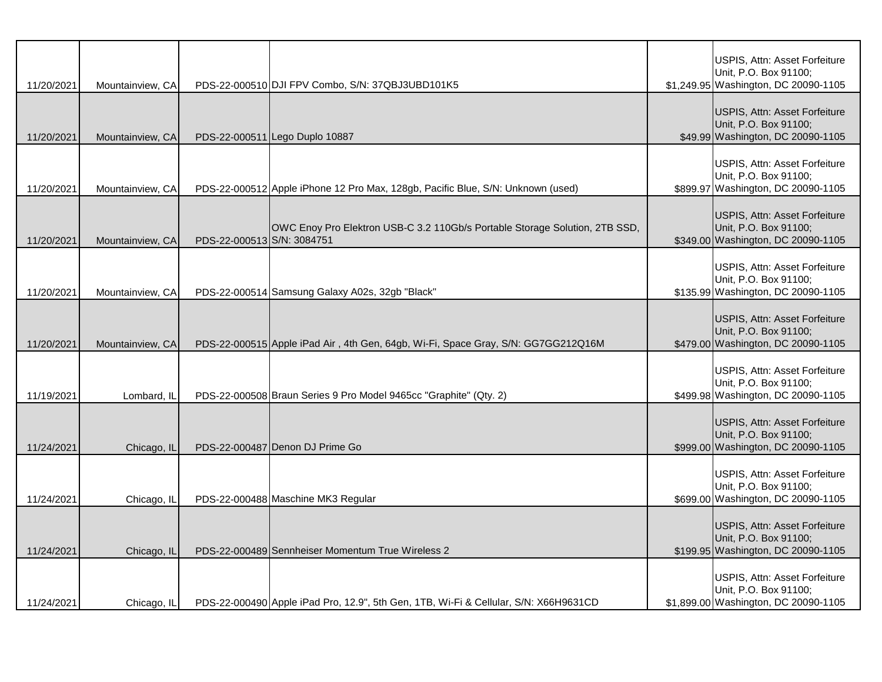| 11/20/2021 | Mountainview, CA |                            | PDS-22-000510 DJI FPV Combo, S/N: 37QBJ3UBD101K5                                     | USPIS, Attn: Asset Forfeiture<br>Unit, P.O. Box 91100;<br>\$1,249.95 Washington, DC 20090-1105      |
|------------|------------------|----------------------------|--------------------------------------------------------------------------------------|-----------------------------------------------------------------------------------------------------|
| 11/20/2021 | Mountainview, CA |                            | PDS-22-000511 Lego Duplo 10887                                                       | USPIS, Attn: Asset Forfeiture<br>Unit, P.O. Box 91100;<br>\$49.99 Washington, DC 20090-1105         |
| 11/20/2021 | Mountainview, CA |                            | PDS-22-000512 Apple iPhone 12 Pro Max, 128gb, Pacific Blue, S/N: Unknown (used)      | USPIS, Attn: Asset Forfeiture<br>Unit, P.O. Box 91100;<br>\$899.97 Washington, DC 20090-1105        |
| 11/20/2021 | Mountainview, CA | PDS-22-000513 S/N: 3084751 | OWC Enoy Pro Elektron USB-C 3.2 110Gb/s Portable Storage Solution, 2TB SSD,          | <b>USPIS, Attn: Asset Forfeiture</b><br>Unit, P.O. Box 91100;<br>\$349.00 Washington, DC 20090-1105 |
| 11/20/2021 | Mountainview, CA |                            | PDS-22-000514 Samsung Galaxy A02s, 32gb "Black"                                      | USPIS, Attn: Asset Forfeiture<br>Unit, P.O. Box 91100;<br>\$135.99 Washington, DC 20090-1105        |
| 11/20/2021 | Mountainview, CA |                            | PDS-22-000515 Apple iPad Air, 4th Gen, 64gb, Wi-Fi, Space Gray, S/N: GG7GG212Q16M    | USPIS, Attn: Asset Forfeiture<br>Unit, P.O. Box 91100;<br>\$479.00 Washington, DC 20090-1105        |
| 11/19/2021 | Lombard, IL      |                            | PDS-22-000508 Braun Series 9 Pro Model 9465cc "Graphite" (Qty. 2)                    | USPIS, Attn: Asset Forfeiture<br>Unit, P.O. Box 91100;<br>\$499.98 Washington, DC 20090-1105        |
| 11/24/2021 | Chicago, IL      |                            | PDS-22-000487 Denon DJ Prime Go                                                      | USPIS, Attn: Asset Forfeiture<br>Unit, P.O. Box 91100;<br>\$999.00 Washington, DC 20090-1105        |
| 11/24/2021 | Chicago, IL      |                            | PDS-22-000488 Maschine MK3 Regular                                                   | USPIS, Attn: Asset Forfeiture<br>Unit, P.O. Box 91100;<br>\$699.00 Washington, DC 20090-1105        |
| 11/24/2021 | Chicago, IL      |                            | PDS-22-000489 Sennheiser Momentum True Wireless 2                                    | USPIS, Attn: Asset Forfeiture<br>Unit, P.O. Box 91100;<br>\$199.95 Washington, DC 20090-1105        |
| 11/24/2021 | Chicago, IL      |                            | PDS-22-000490 Apple iPad Pro, 12.9", 5th Gen, 1TB, Wi-Fi & Cellular, S/N: X66H9631CD | USPIS, Attn: Asset Forfeiture<br>Unit, P.O. Box 91100;<br>\$1,899.00 Washington, DC 20090-1105      |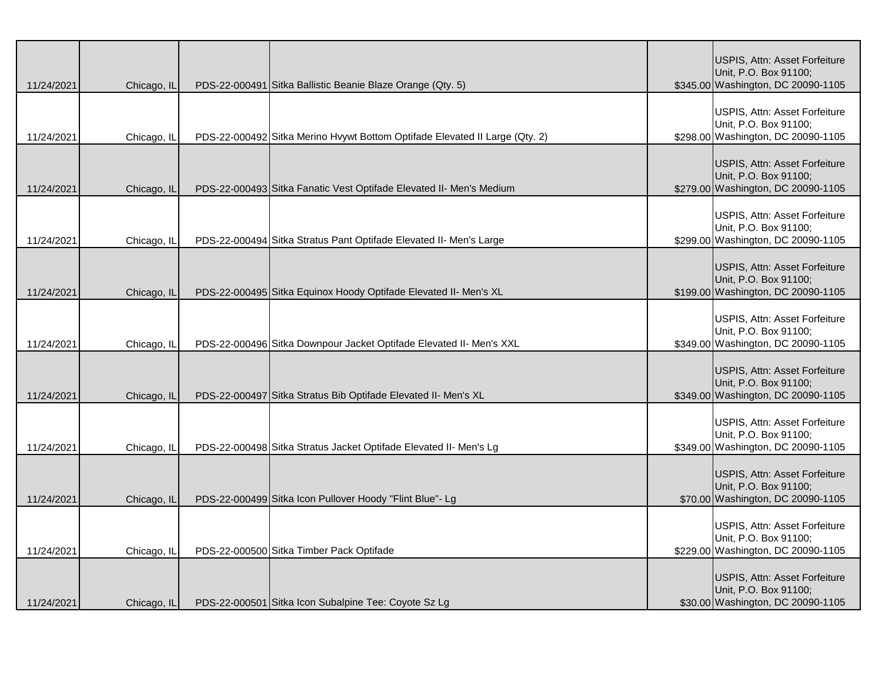| 11/24/2021 | Chicago, IL | PDS-22-000491 Sitka Ballistic Beanie Blaze Orange (Qty. 5)                  | USPIS, Attn: Asset Forfeiture<br>Unit, P.O. Box 91100;<br>\$345.00 Washington, DC 20090-1105 |
|------------|-------------|-----------------------------------------------------------------------------|----------------------------------------------------------------------------------------------|
| 11/24/2021 | Chicago, IL | PDS-22-000492 Sitka Merino Hvywt Bottom Optifade Elevated II Large (Qty. 2) | USPIS, Attn: Asset Forfeiture<br>Unit, P.O. Box 91100;<br>\$298.00 Washington, DC 20090-1105 |
| 11/24/2021 | Chicago, IL | PDS-22-000493 Sitka Fanatic Vest Optifade Elevated II- Men's Medium         | USPIS, Attn: Asset Forfeiture<br>Unit, P.O. Box 91100;<br>\$279.00 Washington, DC 20090-1105 |
| 11/24/2021 | Chicago, IL | PDS-22-000494 Sitka Stratus Pant Optifade Elevated II- Men's Large          | USPIS, Attn: Asset Forfeiture<br>Unit, P.O. Box 91100;<br>\$299.00 Washington, DC 20090-1105 |
| 11/24/2021 | Chicago, IL | PDS-22-000495 Sitka Equinox Hoody Optifade Elevated II- Men's XL            | USPIS, Attn: Asset Forfeiture<br>Unit, P.O. Box 91100;<br>\$199.00 Washington, DC 20090-1105 |
| 11/24/2021 | Chicago, IL | PDS-22-000496 Sitka Downpour Jacket Optifade Elevated II- Men's XXL         | USPIS, Attn: Asset Forfeiture<br>Unit, P.O. Box 91100;<br>\$349.00 Washington, DC 20090-1105 |
| 11/24/2021 | Chicago, IL | PDS-22-000497 Sitka Stratus Bib Optifade Elevated II- Men's XL              | USPIS, Attn: Asset Forfeiture<br>Unit, P.O. Box 91100;<br>\$349.00 Washington, DC 20090-1105 |
| 11/24/2021 | Chicago, IL | PDS-22-000498 Sitka Stratus Jacket Optifade Elevated II- Men's Lg           | USPIS, Attn: Asset Forfeiture<br>Unit, P.O. Box 91100;<br>\$349.00 Washington, DC 20090-1105 |
| 11/24/2021 | Chicago, IL | PDS-22-000499 Sitka Icon Pullover Hoody "Flint Blue"- Lg                    | USPIS, Attn: Asset Forfeiture<br>Unit, P.O. Box 91100;<br>\$70.00 Washington, DC 20090-1105  |
| 11/24/2021 | Chicago, IL | PDS-22-000500 Sitka Timber Pack Optifade                                    | USPIS, Attn: Asset Forfeiture<br>Unit, P.O. Box 91100;<br>\$229.00 Washington, DC 20090-1105 |
| 11/24/2021 | Chicago, IL | PDS-22-000501 Sitka Icon Subalpine Tee: Coyote Sz Lg                        | USPIS, Attn: Asset Forfeiture<br>Unit, P.O. Box 91100;<br>\$30.00 Washington, DC 20090-1105  |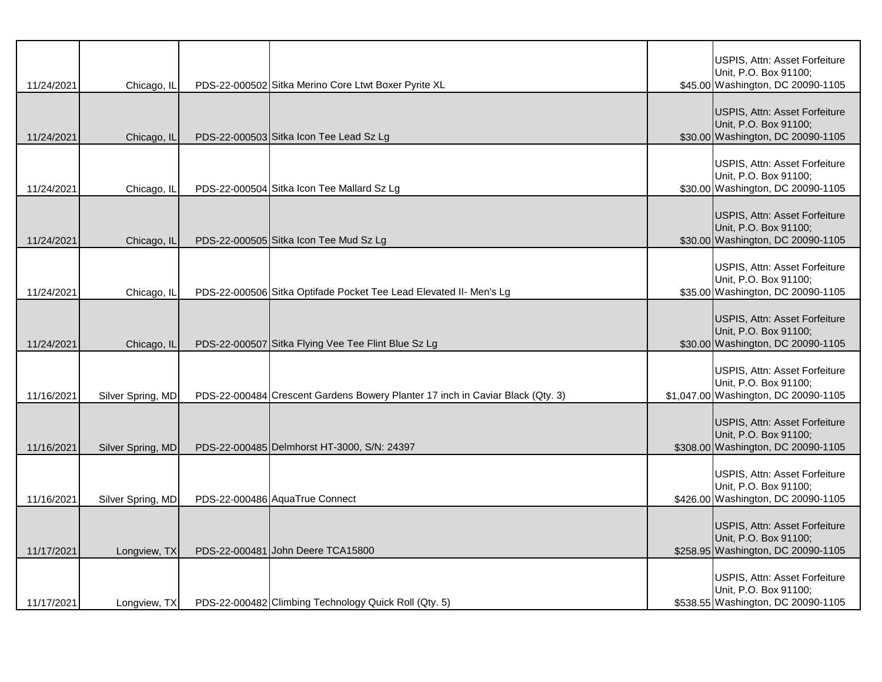| 11/24/2021 | Chicago, IL       | PDS-22-000502 Sitka Merino Core Ltwt Boxer Pyrite XL                           | USPIS, Attn: Asset Forfeiture<br>Unit, P.O. Box 91100;<br>\$45.00 Washington, DC 20090-1105    |
|------------|-------------------|--------------------------------------------------------------------------------|------------------------------------------------------------------------------------------------|
| 11/24/2021 | Chicago, IL       | PDS-22-000503 Sitka Icon Tee Lead Sz Lg                                        | USPIS, Attn: Asset Forfeiture<br>Unit, P.O. Box 91100;<br>\$30.00 Washington, DC 20090-1105    |
| 11/24/2021 | Chicago, IL       | PDS-22-000504 Sitka Icon Tee Mallard Sz Lg                                     | USPIS, Attn: Asset Forfeiture<br>Unit, P.O. Box 91100;<br>\$30.00 Washington, DC 20090-1105    |
| 11/24/2021 | Chicago, IL       | PDS-22-000505 Sitka Icon Tee Mud Sz Lg                                         | USPIS, Attn: Asset Forfeiture<br>Unit, P.O. Box 91100;<br>\$30.00 Washington, DC 20090-1105    |
| 11/24/2021 | Chicago, IL       | PDS-22-000506 Sitka Optifade Pocket Tee Lead Elevated II- Men's Lg             | USPIS, Attn: Asset Forfeiture<br>Unit, P.O. Box 91100;<br>\$35.00 Washington, DC 20090-1105    |
| 11/24/2021 | Chicago, IL       | PDS-22-000507 Sitka Flying Vee Tee Flint Blue Sz Lg                            | USPIS, Attn: Asset Forfeiture<br>Unit, P.O. Box 91100;<br>\$30.00 Washington, DC 20090-1105    |
| 11/16/2021 | Silver Spring, MD | PDS-22-000484 Crescent Gardens Bowery Planter 17 inch in Caviar Black (Qty. 3) | USPIS, Attn: Asset Forfeiture<br>Unit, P.O. Box 91100;<br>\$1,047.00 Washington, DC 20090-1105 |
| 11/16/2021 | Silver Spring, MD | PDS-22-000485 Delmhorst HT-3000, S/N: 24397                                    | USPIS, Attn: Asset Forfeiture<br>Unit, P.O. Box 91100;<br>\$308.00 Washington, DC 20090-1105   |
| 11/16/2021 | Silver Spring, MD | PDS-22-000486 AquaTrue Connect                                                 | USPIS, Attn: Asset Forfeiture<br>Unit, P.O. Box 91100;<br>\$426.00 Washington, DC 20090-1105   |
| 11/17/2021 | Longview, TX      | PDS-22-000481 John Deere TCA15800                                              | USPIS, Attn: Asset Forfeiture<br>Unit, P.O. Box 91100;<br>\$258.95 Washington, DC 20090-1105   |
| 11/17/2021 | Longview, TX      | PDS-22-000482 Climbing Technology Quick Roll (Qty. 5)                          | USPIS, Attn: Asset Forfeiture<br>Unit, P.O. Box 91100;<br>\$538.55 Washington, DC 20090-1105   |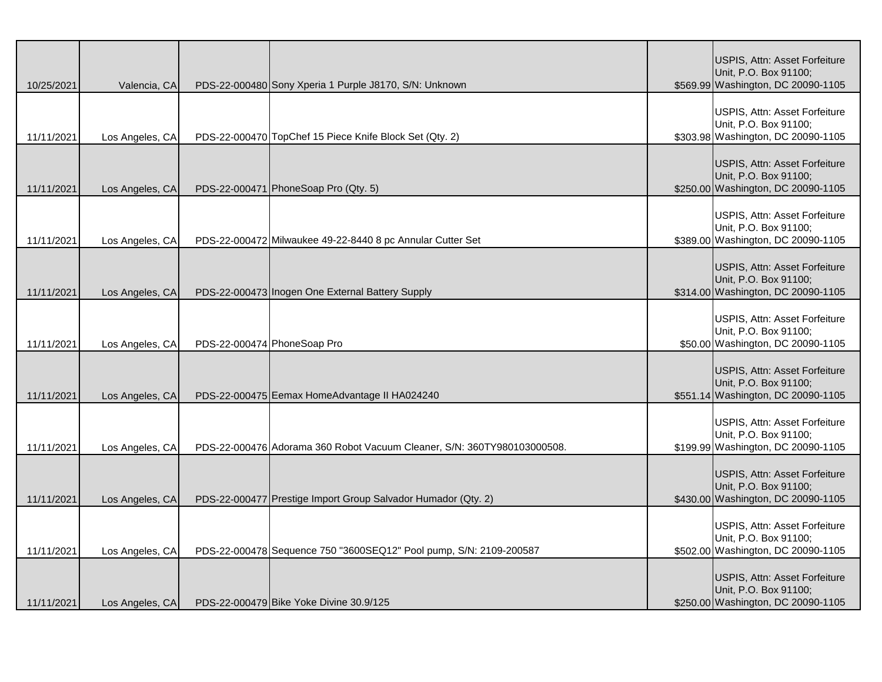| 10/25/2021 | Valencia, CA    |                             | PDS-22-000480 Sony Xperia 1 Purple J8170, S/N: Unknown                  | USPIS, Attn: Asset Forfeiture<br>Unit, P.O. Box 91100;<br>\$569.99 Washington, DC 20090-1105 |
|------------|-----------------|-----------------------------|-------------------------------------------------------------------------|----------------------------------------------------------------------------------------------|
| 11/11/2021 | Los Angeles, CA |                             | PDS-22-000470 TopChef 15 Piece Knife Block Set (Qty. 2)                 | USPIS, Attn: Asset Forfeiture<br>Unit, P.O. Box 91100;<br>\$303.98 Washington, DC 20090-1105 |
| 11/11/2021 | Los Angeles, CA |                             | PDS-22-000471 PhoneSoap Pro (Qty. 5)                                    | USPIS, Attn: Asset Forfeiture<br>Unit, P.O. Box 91100;<br>\$250.00 Washington, DC 20090-1105 |
| 11/11/2021 | Los Angeles, CA |                             | PDS-22-000472 Milwaukee 49-22-8440 8 pc Annular Cutter Set              | USPIS, Attn: Asset Forfeiture<br>Unit, P.O. Box 91100;<br>\$389.00 Washington, DC 20090-1105 |
| 11/11/2021 | Los Angeles, CA |                             | PDS-22-000473 Inogen One External Battery Supply                        | USPIS, Attn: Asset Forfeiture<br>Unit, P.O. Box 91100;<br>\$314.00 Washington, DC 20090-1105 |
| 11/11/2021 | Los Angeles, CA | PDS-22-000474 PhoneSoap Pro |                                                                         | USPIS, Attn: Asset Forfeiture<br>Unit, P.O. Box 91100;<br>\$50.00 Washington, DC 20090-1105  |
| 11/11/2021 | Los Angeles, CA |                             | PDS-22-000475 Eemax HomeAdvantage II HA024240                           | USPIS, Attn: Asset Forfeiture<br>Unit, P.O. Box 91100;<br>\$551.14 Washington, DC 20090-1105 |
| 11/11/2021 | Los Angeles, CA |                             | PDS-22-000476 Adorama 360 Robot Vacuum Cleaner, S/N: 360TY980103000508. | USPIS, Attn: Asset Forfeiture<br>Unit, P.O. Box 91100;<br>\$199.99 Washington, DC 20090-1105 |
| 11/11/2021 | Los Angeles, CA |                             | PDS-22-000477 Prestige Import Group Salvador Humador (Qty. 2)           | USPIS, Attn: Asset Forfeiture<br>Unit, P.O. Box 91100;<br>\$430.00 Washington, DC 20090-1105 |
| 11/11/2021 | Los Angeles, CA |                             | PDS-22-000478 Sequence 750 "3600SEQ12" Pool pump, S/N: 2109-200587      | USPIS, Attn: Asset Forfeiture<br>Unit, P.O. Box 91100;<br>\$502.00 Washington, DC 20090-1105 |
| 11/11/2021 | Los Angeles, CA |                             | PDS-22-000479 Bike Yoke Divine 30.9/125                                 | USPIS, Attn: Asset Forfeiture<br>Unit, P.O. Box 91100;<br>\$250.00 Washington, DC 20090-1105 |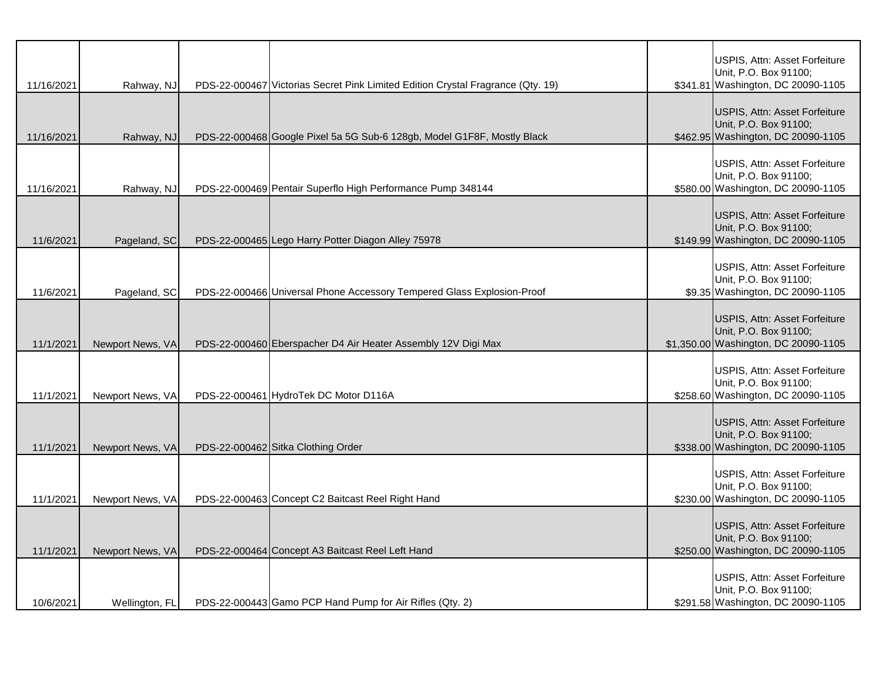| 11/16/2021 | Rahway, NJ       | PDS-22-000467 Victorias Secret Pink Limited Edition Crystal Fragrance (Qty. 19) | USPIS, Attn: Asset Forfeiture<br>Unit, P.O. Box 91100;<br>\$341.81 Washington, DC 20090-1105   |
|------------|------------------|---------------------------------------------------------------------------------|------------------------------------------------------------------------------------------------|
| 11/16/2021 | Rahway, NJ       | PDS-22-000468 Google Pixel 5a 5G Sub-6 128gb, Model G1F8F, Mostly Black         | USPIS, Attn: Asset Forfeiture<br>Unit, P.O. Box 91100;<br>\$462.95 Washington, DC 20090-1105   |
| 11/16/2021 | Rahway, NJ       | PDS-22-000469 Pentair Superflo High Performance Pump 348144                     | USPIS, Attn: Asset Forfeiture<br>Unit, P.O. Box 91100;<br>\$580.00 Washington, DC 20090-1105   |
| 11/6/2021  | Pageland, SC     | PDS-22-000465 Lego Harry Potter Diagon Alley 75978                              | USPIS, Attn: Asset Forfeiture<br>Unit, P.O. Box 91100;<br>\$149.99 Washington, DC 20090-1105   |
| 11/6/2021  | Pageland, SC     | PDS-22-000466 Universal Phone Accessory Tempered Glass Explosion-Proof          | USPIS, Attn: Asset Forfeiture<br>Unit, P.O. Box 91100;<br>\$9.35 Washington, DC 20090-1105     |
| 11/1/2021  | Newport News, VA | PDS-22-000460 Eberspacher D4 Air Heater Assembly 12V Digi Max                   | USPIS, Attn: Asset Forfeiture<br>Unit, P.O. Box 91100;<br>\$1,350.00 Washington, DC 20090-1105 |
| 11/1/2021  | Newport News, VA | PDS-22-000461 HydroTek DC Motor D116A                                           | USPIS, Attn: Asset Forfeiture<br>Unit, P.O. Box 91100;<br>\$258.60 Washington, DC 20090-1105   |
| 11/1/2021  | Newport News, VA | PDS-22-000462 Sitka Clothing Order                                              | USPIS, Attn: Asset Forfeiture<br>Unit, P.O. Box 91100;<br>\$338.00 Washington, DC 20090-1105   |
| 11/1/2021  | Newport News, VA | PDS-22-000463 Concept C2 Baitcast Reel Right Hand                               | USPIS, Attn: Asset Forfeiture<br>Unit, P.O. Box 91100;<br>\$230.00 Washington, DC 20090-1105   |
| 11/1/2021  | Newport News, VA | PDS-22-000464 Concept A3 Baitcast Reel Left Hand                                | USPIS, Attn: Asset Forfeiture<br>Unit, P.O. Box 91100;<br>\$250.00 Washington, DC 20090-1105   |
| 10/6/2021  | Wellington, FL   | PDS-22-000443 Gamo PCP Hand Pump for Air Rifles (Qty. 2)                        | USPIS, Attn: Asset Forfeiture<br>Unit, P.O. Box 91100;<br>\$291.58 Washington, DC 20090-1105   |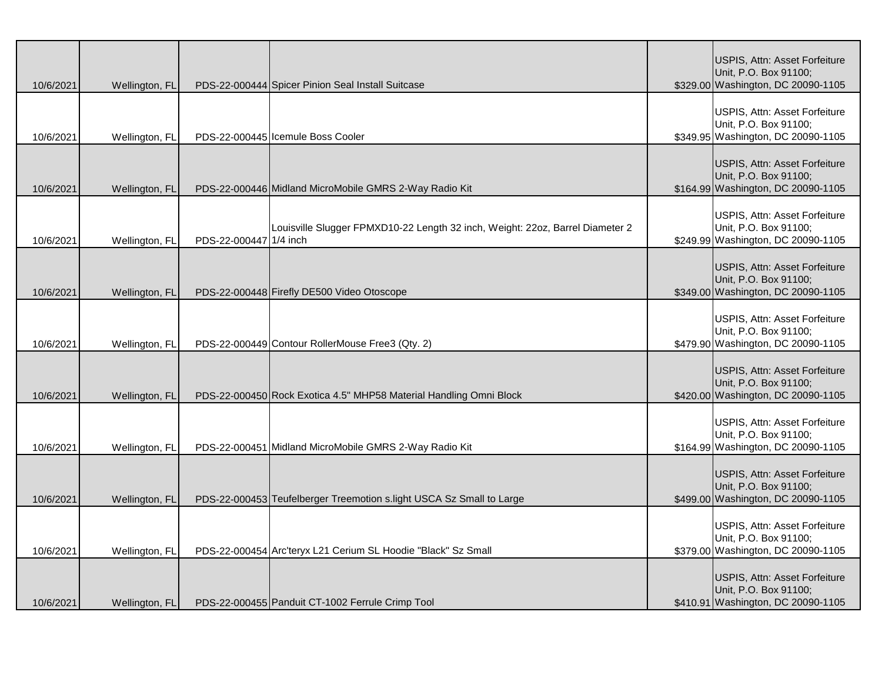| 10/6/2021 | Wellington, FL |                        | PDS-22-000444 Spicer Pinion Seal Install Suitcase                             | USPIS, Attn: Asset Forfeiture<br>Unit, P.O. Box 91100;<br>\$329.00 Washington, DC 20090-1105 |
|-----------|----------------|------------------------|-------------------------------------------------------------------------------|----------------------------------------------------------------------------------------------|
| 10/6/2021 | Wellington, FL |                        | PDS-22-000445 Icemule Boss Cooler                                             | USPIS, Attn: Asset Forfeiture<br>Unit, P.O. Box 91100;<br>\$349.95 Washington, DC 20090-1105 |
| 10/6/2021 | Wellington, FL |                        | PDS-22-000446 Midland MicroMobile GMRS 2-Way Radio Kit                        | USPIS, Attn: Asset Forfeiture<br>Unit, P.O. Box 91100;<br>\$164.99 Washington, DC 20090-1105 |
| 10/6/2021 | Wellington, FL | PDS-22-000447 1/4 inch | Louisville Slugger FPMXD10-22 Length 32 inch, Weight: 22oz, Barrel Diameter 2 | USPIS, Attn: Asset Forfeiture<br>Unit, P.O. Box 91100;<br>\$249.99 Washington, DC 20090-1105 |
| 10/6/2021 | Wellington, FL |                        | PDS-22-000448 Firefly DE500 Video Otoscope                                    | USPIS, Attn: Asset Forfeiture<br>Unit, P.O. Box 91100;<br>\$349.00 Washington, DC 20090-1105 |
| 10/6/2021 | Wellington, FL |                        | PDS-22-000449 Contour RollerMouse Free3 (Qty. 2)                              | USPIS, Attn: Asset Forfeiture<br>Unit, P.O. Box 91100;<br>\$479.90 Washington, DC 20090-1105 |
| 10/6/2021 | Wellington, FL |                        | PDS-22-000450 Rock Exotica 4.5" MHP58 Material Handling Omni Block            | USPIS, Attn: Asset Forfeiture<br>Unit, P.O. Box 91100;<br>\$420.00 Washington, DC 20090-1105 |
| 10/6/2021 | Wellington, FL |                        | PDS-22-000451 Midland MicroMobile GMRS 2-Way Radio Kit                        | USPIS, Attn: Asset Forfeiture<br>Unit, P.O. Box 91100;<br>\$164.99 Washington, DC 20090-1105 |
| 10/6/2021 | Wellington, FL |                        | PDS-22-000453 Teufelberger Treemotion s.light USCA Sz Small to Large          | USPIS, Attn: Asset Forfeiture<br>Unit, P.O. Box 91100;<br>\$499.00 Washington, DC 20090-1105 |
| 10/6/2021 | Wellington, FL |                        | PDS-22-000454 Arc'teryx L21 Cerium SL Hoodie "Black" Sz Small                 | USPIS, Attn: Asset Forfeiture<br>Unit, P.O. Box 91100;<br>\$379.00 Washington, DC 20090-1105 |
| 10/6/2021 | Wellington, FL |                        | PDS-22-000455 Panduit CT-1002 Ferrule Crimp Tool                              | USPIS, Attn: Asset Forfeiture<br>Unit, P.O. Box 91100;<br>\$410.91 Washington, DC 20090-1105 |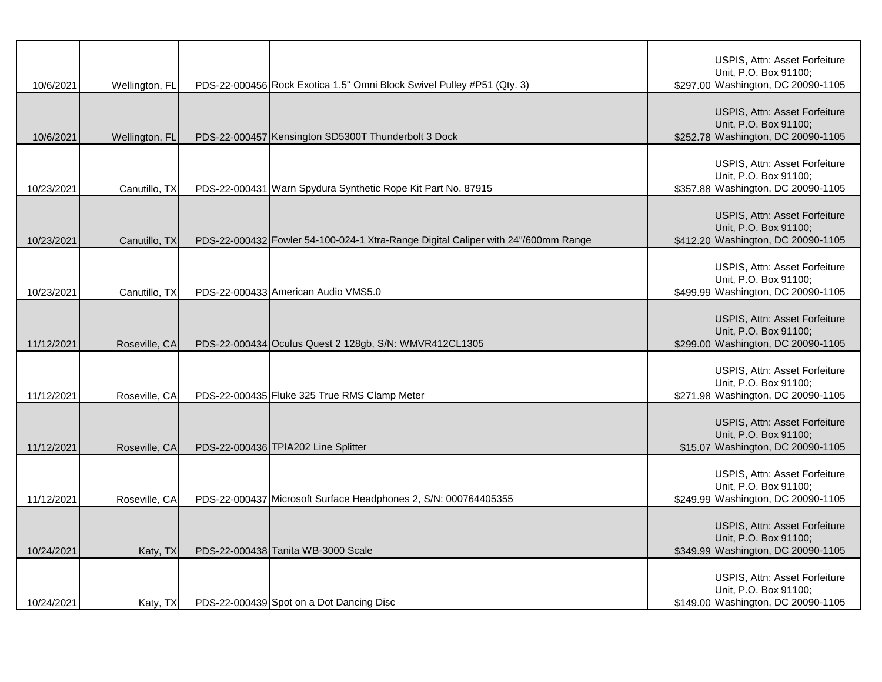| 10/6/2021  | Wellington, FL | PDS-22-000456 Rock Exotica 1.5" Omni Block Swivel Pulley #P51 (Qty. 3)            | USPIS, Attn: Asset Forfeiture<br>Unit, P.O. Box 91100;<br>\$297.00 Washington, DC 20090-1105 |
|------------|----------------|-----------------------------------------------------------------------------------|----------------------------------------------------------------------------------------------|
| 10/6/2021  | Wellington, FL | PDS-22-000457 Kensington SD5300T Thunderbolt 3 Dock                               | USPIS, Attn: Asset Forfeiture<br>Unit, P.O. Box 91100;<br>\$252.78 Washington, DC 20090-1105 |
| 10/23/2021 | Canutillo, TX  | PDS-22-000431 Warn Spydura Synthetic Rope Kit Part No. 87915                      | USPIS, Attn: Asset Forfeiture<br>Unit, P.O. Box 91100;<br>\$357.88 Washington, DC 20090-1105 |
| 10/23/2021 | Canutillo, TX  | PDS-22-000432 Fowler 54-100-024-1 Xtra-Range Digital Caliper with 24"/600mm Range | USPIS, Attn: Asset Forfeiture<br>Unit, P.O. Box 91100;<br>\$412.20 Washington, DC 20090-1105 |
| 10/23/2021 | Canutillo, TX  | PDS-22-000433 American Audio VMS5.0                                               | USPIS, Attn: Asset Forfeiture<br>Unit, P.O. Box 91100;<br>\$499.99 Washington, DC 20090-1105 |
| 11/12/2021 | Roseville, CA  | PDS-22-000434 Oculus Quest 2 128gb, S/N: WMVR412CL1305                            | USPIS, Attn: Asset Forfeiture<br>Unit, P.O. Box 91100;<br>\$299.00 Washington, DC 20090-1105 |
| 11/12/2021 | Roseville, CA  | PDS-22-000435 Fluke 325 True RMS Clamp Meter                                      | USPIS, Attn: Asset Forfeiture<br>Unit, P.O. Box 91100;<br>\$271.98 Washington, DC 20090-1105 |
| 11/12/2021 | Roseville, CA  | PDS-22-000436 TPIA202 Line Splitter                                               | USPIS, Attn: Asset Forfeiture<br>Unit, P.O. Box 91100;<br>\$15.07 Washington, DC 20090-1105  |
| 11/12/2021 | Roseville, CA  | PDS-22-000437 Microsoft Surface Headphones 2, S/N: 000764405355                   | USPIS, Attn: Asset Forfeiture<br>Unit, P.O. Box 91100;<br>\$249.99 Washington, DC 20090-1105 |
| 10/24/2021 | Katy, TX       | PDS-22-000438 Tanita WB-3000 Scale                                                | USPIS, Attn: Asset Forfeiture<br>Unit, P.O. Box 91100;<br>\$349.99 Washington, DC 20090-1105 |
| 10/24/2021 | Katy, TX       | PDS-22-000439 Spot on a Dot Dancing Disc                                          | USPIS, Attn: Asset Forfeiture<br>Unit, P.O. Box 91100;<br>\$149.00 Washington, DC 20090-1105 |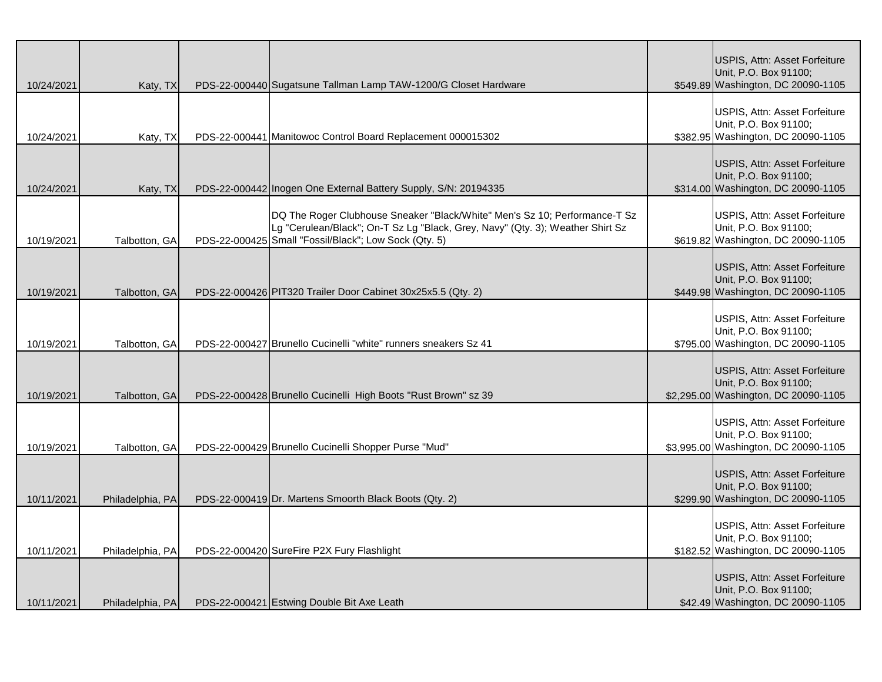| 10/24/2021 | Katy, TX         | PDS-22-000440 Sugatsune Tallman Lamp TAW-1200/G Closet Hardware                                                                                                                                                       | USPIS, Attn: Asset Forfeiture<br>Unit, P.O. Box 91100;<br>\$549.89 Washington, DC 20090-1105   |
|------------|------------------|-----------------------------------------------------------------------------------------------------------------------------------------------------------------------------------------------------------------------|------------------------------------------------------------------------------------------------|
| 10/24/2021 | Katy, TX         | PDS-22-000441 Manitowoc Control Board Replacement 000015302                                                                                                                                                           | USPIS, Attn: Asset Forfeiture<br>Unit, P.O. Box 91100;<br>\$382.95 Washington, DC 20090-1105   |
| 10/24/2021 | Katy, TX         | PDS-22-000442 Inogen One External Battery Supply, S/N: 20194335                                                                                                                                                       | USPIS, Attn: Asset Forfeiture<br>Unit, P.O. Box 91100;<br>\$314.00 Washington, DC 20090-1105   |
| 10/19/2021 | Talbotton, GA    | DQ The Roger Clubhouse Sneaker "Black/White" Men's Sz 10; Performance-T Sz<br>Lg "Cerulean/Black"; On-T Sz Lg "Black, Grey, Navy" (Qty. 3); Weather Shirt Sz<br>PDS-22-000425 Small "Fossil/Black"; Low Sock (Qty. 5) | USPIS, Attn: Asset Forfeiture<br>Unit, P.O. Box 91100;<br>\$619.82 Washington, DC 20090-1105   |
| 10/19/2021 | Talbotton, GA    | PDS-22-000426 PIT320 Trailer Door Cabinet 30x25x5.5 (Qty. 2)                                                                                                                                                          | USPIS, Attn: Asset Forfeiture<br>Unit, P.O. Box 91100;<br>\$449.98 Washington, DC 20090-1105   |
| 10/19/2021 | Talbotton, GA    | PDS-22-000427 Brunello Cucinelli "white" runners sneakers Sz 41                                                                                                                                                       | USPIS, Attn: Asset Forfeiture<br>Unit, P.O. Box 91100;<br>\$795.00 Washington, DC 20090-1105   |
| 10/19/2021 | Talbotton, GA    | PDS-22-000428 Brunello Cucinelli High Boots "Rust Brown" sz 39                                                                                                                                                        | USPIS, Attn: Asset Forfeiture<br>Unit, P.O. Box 91100;<br>\$2,295.00 Washington, DC 20090-1105 |
| 10/19/2021 | Talbotton, GA    | PDS-22-000429 Brunello Cucinelli Shopper Purse "Mud"                                                                                                                                                                  | USPIS, Attn: Asset Forfeiture<br>Unit, P.O. Box 91100;<br>\$3,995.00 Washington, DC 20090-1105 |
| 10/11/2021 | Philadelphia, PA | PDS-22-000419 Dr. Martens Smoorth Black Boots (Qty. 2)                                                                                                                                                                | USPIS, Attn: Asset Forfeiture<br>Unit, P.O. Box 91100;<br>\$299.90 Washington, DC 20090-1105   |
| 10/11/2021 | Philadelphia, PA | PDS-22-000420 SureFire P2X Fury Flashlight                                                                                                                                                                            | USPIS, Attn: Asset Forfeiture<br>Unit, P.O. Box 91100;<br>\$182.52 Washington, DC 20090-1105   |
| 10/11/2021 | Philadelphia, PA | PDS-22-000421 Estwing Double Bit Axe Leath                                                                                                                                                                            | USPIS, Attn: Asset Forfeiture<br>Unit, P.O. Box 91100;<br>\$42.49 Washington, DC 20090-1105    |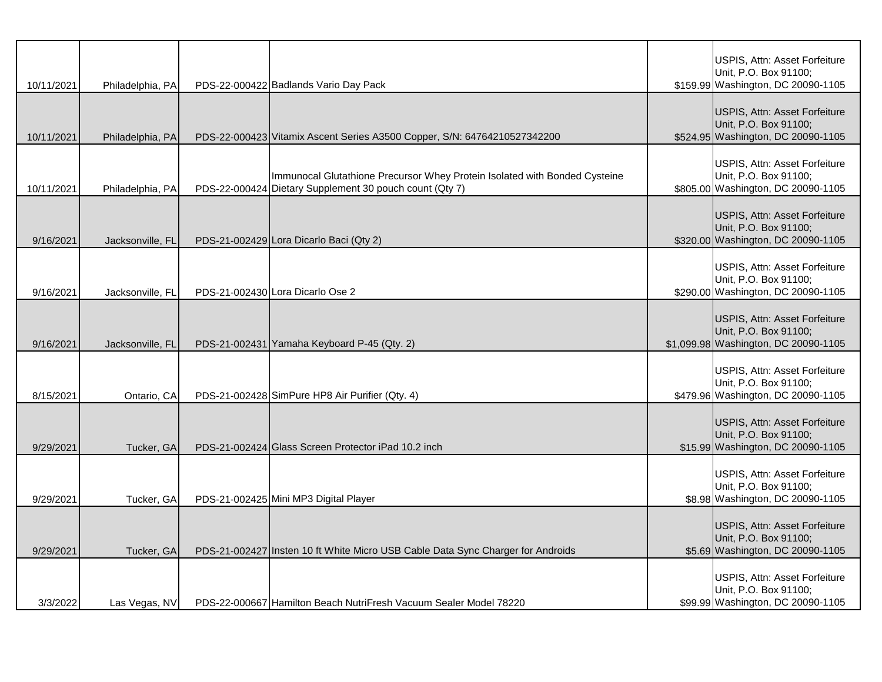| 10/11/2021 | Philadelphia, PA | PDS-22-000422 Badlands Vario Day Pack                                                                                                 | USPIS, Attn: Asset Forfeiture<br>Unit, P.O. Box 91100;<br>\$159.99 Washington, DC 20090-1105   |
|------------|------------------|---------------------------------------------------------------------------------------------------------------------------------------|------------------------------------------------------------------------------------------------|
| 10/11/2021 | Philadelphia, PA | PDS-22-000423 Vitamix Ascent Series A3500 Copper, S/N: 64764210527342200                                                              | USPIS, Attn: Asset Forfeiture<br>Unit, P.O. Box 91100;<br>\$524.95 Washington, DC 20090-1105   |
| 10/11/2021 | Philadelphia, PA | Immunocal Glutathione Precursor Whey Protein Isolated with Bonded Cysteine<br>PDS-22-000424 Dietary Supplement 30 pouch count (Qty 7) | USPIS, Attn: Asset Forfeiture<br>Unit, P.O. Box 91100;<br>\$805.00 Washington, DC 20090-1105   |
| 9/16/2021  | Jacksonville, FL | PDS-21-002429 Lora Dicarlo Baci (Qty 2)                                                                                               | USPIS, Attn: Asset Forfeiture<br>Unit, P.O. Box 91100;<br>\$320.00 Washington, DC 20090-1105   |
| 9/16/2021  | Jacksonville, FL | PDS-21-002430 Lora Dicarlo Ose 2                                                                                                      | USPIS, Attn: Asset Forfeiture<br>Unit, P.O. Box 91100;<br>\$290.00 Washington, DC 20090-1105   |
| 9/16/2021  | Jacksonville, FL | PDS-21-002431 Yamaha Keyboard P-45 (Qty. 2)                                                                                           | USPIS, Attn: Asset Forfeiture<br>Unit, P.O. Box 91100;<br>\$1,099.98 Washington, DC 20090-1105 |
| 8/15/2021  | Ontario, CA      | PDS-21-002428 SimPure HP8 Air Purifier (Qty. 4)                                                                                       | USPIS, Attn: Asset Forfeiture<br>Unit, P.O. Box 91100;<br>\$479.96 Washington, DC 20090-1105   |
| 9/29/2021  | Tucker, GA       | PDS-21-002424 Glass Screen Protector iPad 10.2 inch                                                                                   | USPIS, Attn: Asset Forfeiture<br>Unit, P.O. Box 91100;<br>\$15.99 Washington, DC 20090-1105    |
| 9/29/2021  | Tucker, GA       | PDS-21-002425 Mini MP3 Digital Player                                                                                                 | USPIS, Attn: Asset Forfeiture<br>Unit, P.O. Box 91100;<br>\$8.98 Washington, DC 20090-1105     |
| 9/29/2021  | Tucker, GA       | PDS-21-002427 Insten 10 ft White Micro USB Cable Data Sync Charger for Androids                                                       | USPIS, Attn: Asset Forfeiture<br>Unit, P.O. Box 91100;<br>\$5.69 Washington, DC 20090-1105     |
| 3/3/2022   | Las Vegas, NV    | PDS-22-000667 Hamilton Beach NutriFresh Vacuum Sealer Model 78220                                                                     | USPIS, Attn: Asset Forfeiture<br>Unit, P.O. Box 91100;<br>\$99.99 Washington, DC 20090-1105    |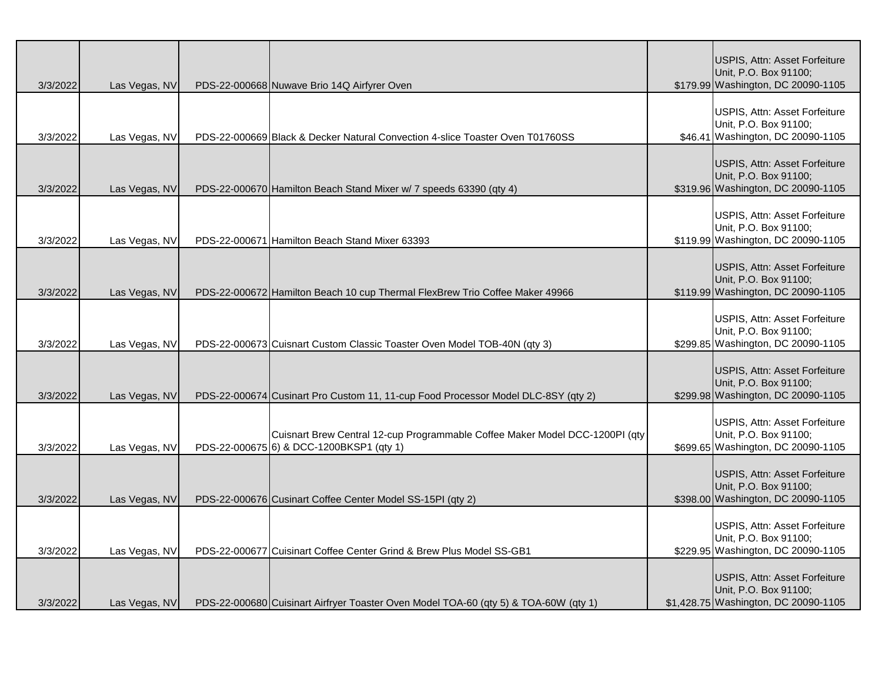|          |               |                                                                                      | USPIS, Attn: Asset Forfeiture                                 |
|----------|---------------|--------------------------------------------------------------------------------------|---------------------------------------------------------------|
|          |               |                                                                                      | Unit, P.O. Box 91100;                                         |
| 3/3/2022 | Las Vegas, NV | PDS-22-000668 Nuwave Brio 14Q Airfyrer Oven                                          | \$179.99 Washington, DC 20090-1105                            |
|          |               |                                                                                      |                                                               |
|          |               |                                                                                      | USPIS, Attn: Asset Forfeiture                                 |
| 3/3/2022 | Las Vegas, NV | PDS-22-000669 Black & Decker Natural Convection 4-slice Toaster Oven T01760SS        | Unit, P.O. Box 91100;<br>\$46.41 Washington, DC 20090-1105    |
|          |               |                                                                                      |                                                               |
|          |               |                                                                                      | USPIS, Attn: Asset Forfeiture                                 |
|          |               |                                                                                      | Unit, P.O. Box 91100;                                         |
| 3/3/2022 | Las Vegas, NV | PDS-22-000670 Hamilton Beach Stand Mixer w/ 7 speeds 63390 (qty 4)                   | \$319.96 Washington, DC 20090-1105                            |
|          |               |                                                                                      |                                                               |
|          |               |                                                                                      | <b>USPIS, Attn: Asset Forfeiture</b><br>Unit, P.O. Box 91100; |
| 3/3/2022 | Las Vegas, NV | PDS-22-000671 Hamilton Beach Stand Mixer 63393                                       | \$119.99 Washington, DC 20090-1105                            |
|          |               |                                                                                      |                                                               |
|          |               |                                                                                      | USPIS, Attn: Asset Forfeiture                                 |
|          |               |                                                                                      | Unit, P.O. Box 91100;                                         |
| 3/3/2022 | Las Vegas, NV | PDS-22-000672 Hamilton Beach 10 cup Thermal FlexBrew Trio Coffee Maker 49966         | \$119.99 Washington, DC 20090-1105                            |
|          |               |                                                                                      |                                                               |
|          |               |                                                                                      | USPIS, Attn: Asset Forfeiture<br>Unit, P.O. Box 91100;        |
| 3/3/2022 | Las Vegas, NV | PDS-22-000673 Cuisnart Custom Classic Toaster Oven Model TOB-40N (qty 3)             | \$299.85 Washington, DC 20090-1105                            |
|          |               |                                                                                      |                                                               |
|          |               |                                                                                      | USPIS, Attn: Asset Forfeiture                                 |
|          |               |                                                                                      | Unit, P.O. Box 91100;                                         |
| 3/3/2022 | Las Vegas, NV | PDS-22-000674 Cusinart Pro Custom 11, 11-cup Food Processor Model DLC-8SY (qty 2)    | \$299.98 Washington, DC 20090-1105                            |
|          |               |                                                                                      |                                                               |
|          |               | Cuisnart Brew Central 12-cup Programmable Coffee Maker Model DCC-1200PI (qty         | USPIS, Attn: Asset Forfeiture<br>Unit, P.O. Box 91100;        |
| 3/3/2022 | Las Vegas, NV | PDS-22-000675 6) & DCC-1200BKSP1 (qty 1)                                             | \$699.65 Washington, DC 20090-1105                            |
|          |               |                                                                                      |                                                               |
|          |               |                                                                                      | USPIS, Attn: Asset Forfeiture                                 |
|          |               |                                                                                      | Unit, P.O. Box 91100;                                         |
| 3/3/2022 | Las Vegas, NV | PDS-22-000676 Cusinart Coffee Center Model SS-15PI (qty 2)                           | \$398.00 Washington, DC 20090-1105                            |
|          |               |                                                                                      |                                                               |
|          |               |                                                                                      | USPIS, Attn: Asset Forfeiture<br>Unit, P.O. Box 91100;        |
| 3/3/2022 | Las Vegas, NV | PDS-22-000677 Cuisinart Coffee Center Grind & Brew Plus Model SS-GB1                 | \$229.95 Washington, DC 20090-1105                            |
|          |               |                                                                                      |                                                               |
|          |               |                                                                                      | USPIS, Attn: Asset Forfeiture                                 |
|          |               |                                                                                      | Unit, P.O. Box 91100;                                         |
| 3/3/2022 | Las Vegas, NV | PDS-22-000680 Cuisinart Airfryer Toaster Oven Model TOA-60 (qty 5) & TOA-60W (qty 1) | \$1,428.75 Washington, DC 20090-1105                          |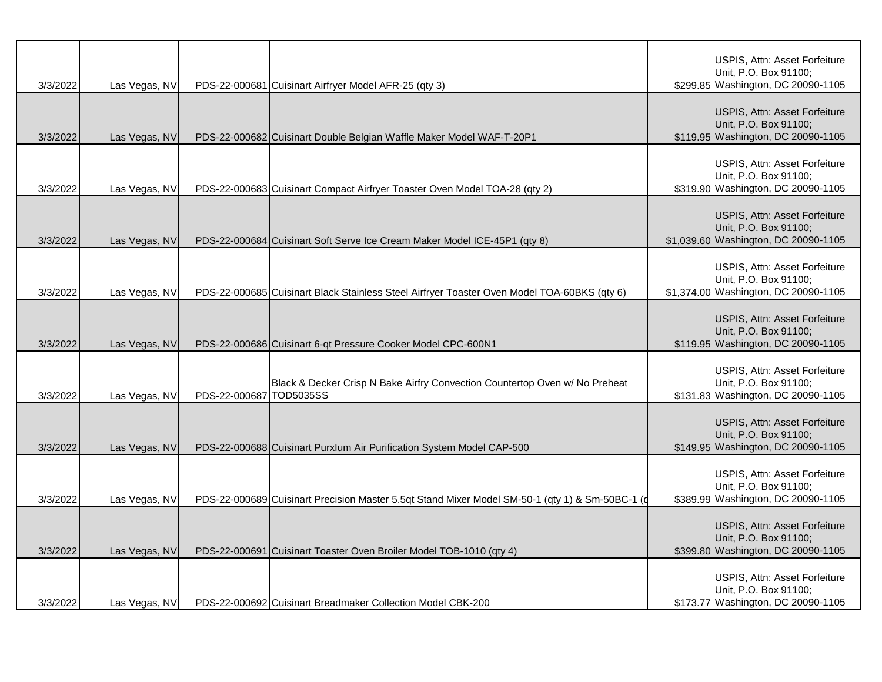| 3/3/2022 | Las Vegas, NV |                         | PDS-22-000681 Cuisinart Airfryer Model AFR-25 (qty 3)                                           | USPIS, Attn: Asset Forfeiture<br>Unit, P.O. Box 91100;<br>\$299.85 Washington, DC 20090-1105   |
|----------|---------------|-------------------------|-------------------------------------------------------------------------------------------------|------------------------------------------------------------------------------------------------|
| 3/3/2022 | Las Vegas, NV |                         | PDS-22-000682 Cuisinart Double Belgian Waffle Maker Model WAF-T-20P1                            | USPIS, Attn: Asset Forfeiture<br>Unit, P.O. Box 91100;<br>\$119.95 Washington, DC 20090-1105   |
| 3/3/2022 | Las Vegas, NV |                         | PDS-22-000683 Cuisinart Compact Airfryer Toaster Oven Model TOA-28 (qty 2)                      | USPIS, Attn: Asset Forfeiture<br>Unit, P.O. Box 91100;<br>\$319.90 Washington, DC 20090-1105   |
| 3/3/2022 | Las Vegas, NV |                         | PDS-22-000684 Cuisinart Soft Serve Ice Cream Maker Model ICE-45P1 (qty 8)                       | USPIS, Attn: Asset Forfeiture<br>Unit, P.O. Box 91100;<br>\$1,039.60 Washington, DC 20090-1105 |
| 3/3/2022 | Las Vegas, NV |                         | PDS-22-000685 Cuisinart Black Stainless Steel Airfryer Toaster Oven Model TOA-60BKS (qty 6)     | USPIS, Attn: Asset Forfeiture<br>Unit, P.O. Box 91100;<br>\$1,374.00 Washington, DC 20090-1105 |
| 3/3/2022 | Las Vegas, NV |                         | PDS-22-000686 Cuisinart 6-qt Pressure Cooker Model CPC-600N1                                    | USPIS, Attn: Asset Forfeiture<br>Unit, P.O. Box 91100;<br>\$119.95 Washington, DC 20090-1105   |
| 3/3/2022 | Las Vegas, NV | PDS-22-000687 TOD5035SS | Black & Decker Crisp N Bake Airfry Convection Countertop Oven w/ No Preheat                     | USPIS, Attn: Asset Forfeiture<br>Unit, P.O. Box 91100;<br>\$131.83 Washington, DC 20090-1105   |
| 3/3/2022 | Las Vegas, NV |                         | PDS-22-000688 Cuisinart Purxlum Air Purification System Model CAP-500                           | USPIS, Attn: Asset Forfeiture<br>Unit, P.O. Box 91100;<br>\$149.95 Washington, DC 20090-1105   |
| 3/3/2022 | Las Vegas, NV |                         | PDS-22-000689 Cuisinart Precision Master 5.5qt Stand Mixer Model SM-50-1 (qty 1) & Sm-50BC-1 (d | USPIS, Attn: Asset Forfeiture<br>Unit, P.O. Box 91100;<br>\$389.99 Washington, DC 20090-1105   |
| 3/3/2022 | Las Vegas, NV |                         | PDS-22-000691 Cuisinart Toaster Oven Broiler Model TOB-1010 (qty 4)                             | USPIS, Attn: Asset Forfeiture<br>Unit, P.O. Box 91100;<br>\$399.80 Washington, DC 20090-1105   |
| 3/3/2022 | Las Vegas, NV |                         | PDS-22-000692 Cuisinart Breadmaker Collection Model CBK-200                                     | USPIS, Attn: Asset Forfeiture<br>Unit, P.O. Box 91100;<br>\$173.77 Washington, DC 20090-1105   |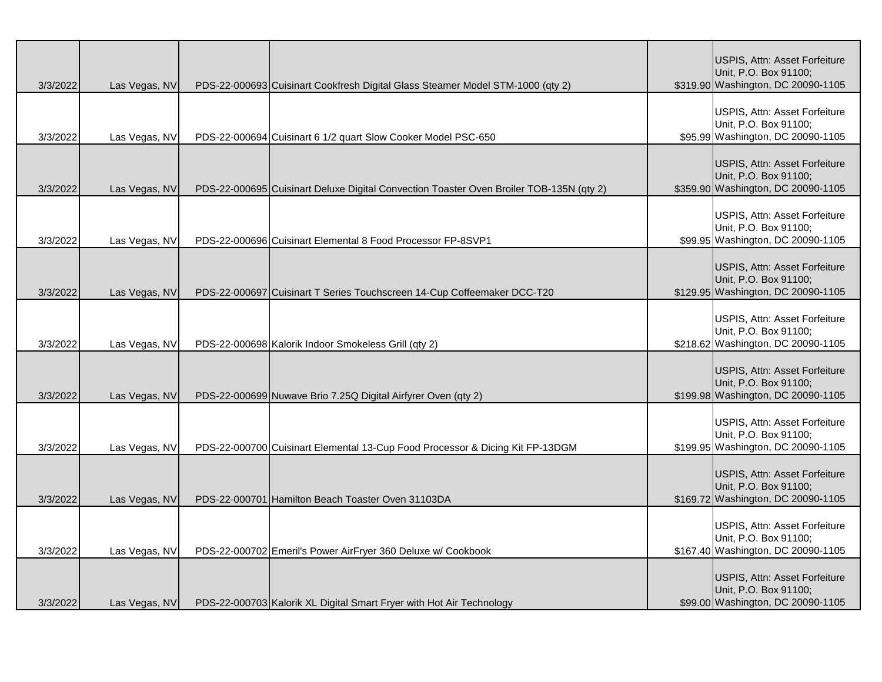| 3/3/2022 | Las Vegas, NV | PDS-22-000693 Cuisinart Cookfresh Digital Glass Steamer Model STM-1000 (qty 2)          | USPIS, Attn: Asset Forfeiture<br>Unit, P.O. Box 91100;<br>\$319.90 Washington, DC 20090-1105        |
|----------|---------------|-----------------------------------------------------------------------------------------|-----------------------------------------------------------------------------------------------------|
| 3/3/2022 | Las Vegas, NV | PDS-22-000694 Cuisinart 6 1/2 quart Slow Cooker Model PSC-650                           | USPIS, Attn: Asset Forfeiture<br>Unit, P.O. Box 91100;<br>\$95.99 Washington, DC 20090-1105         |
| 3/3/2022 | Las Vegas, NV | PDS-22-000695 Cuisinart Deluxe Digital Convection Toaster Oven Broiler TOB-135N (qty 2) | USPIS, Attn: Asset Forfeiture<br>Unit, P.O. Box 91100;<br>\$359.90 Washington, DC 20090-1105        |
| 3/3/2022 | Las Vegas, NV | PDS-22-000696 Cuisinart Elemental 8 Food Processor FP-8SVP1                             | USPIS, Attn: Asset Forfeiture<br>Unit, P.O. Box 91100;<br>\$99.95 Washington, DC 20090-1105         |
| 3/3/2022 | Las Vegas, NV | PDS-22-000697 Cuisinart T Series Touchscreen 14-Cup Coffeemaker DCC-T20                 | USPIS, Attn: Asset Forfeiture<br>Unit, P.O. Box 91100;<br>\$129.95 Washington, DC 20090-1105        |
| 3/3/2022 | Las Vegas, NV | PDS-22-000698 Kalorik Indoor Smokeless Grill (qty 2)                                    | USPIS, Attn: Asset Forfeiture<br>Unit, P.O. Box 91100;<br>\$218.62 Washington, DC 20090-1105        |
| 3/3/2022 | Las Vegas, NV | PDS-22-000699 Nuwave Brio 7.25Q Digital Airfyrer Oven (qty 2)                           | USPIS, Attn: Asset Forfeiture<br>Unit, P.O. Box 91100;<br>\$199.98 Washington, DC 20090-1105        |
| 3/3/2022 | Las Vegas, NV | PDS-22-000700 Cuisinart Elemental 13-Cup Food Processor & Dicing Kit FP-13DGM           | USPIS, Attn: Asset Forfeiture<br>Unit, P.O. Box 91100;<br>\$199.95 Washington, DC 20090-1105        |
| 3/3/2022 | Las Vegas, NV | PDS-22-000701 Hamilton Beach Toaster Oven 31103DA                                       | <b>USPIS, Attn: Asset Forfeiture</b><br>Unit, P.O. Box 91100;<br>\$169.72 Washington, DC 20090-1105 |
| 3/3/2022 | Las Vegas, NV | PDS-22-000702 Emeril's Power AirFryer 360 Deluxe w/ Cookbook                            | USPIS, Attn: Asset Forfeiture<br>Unit, P.O. Box 91100;<br>\$167.40 Washington, DC 20090-1105        |
| 3/3/2022 | Las Vegas, NV | PDS-22-000703 Kalorik XL Digital Smart Fryer with Hot Air Technology                    | USPIS, Attn: Asset Forfeiture<br>Unit, P.O. Box 91100;<br>\$99.00 Washington, DC 20090-1105         |